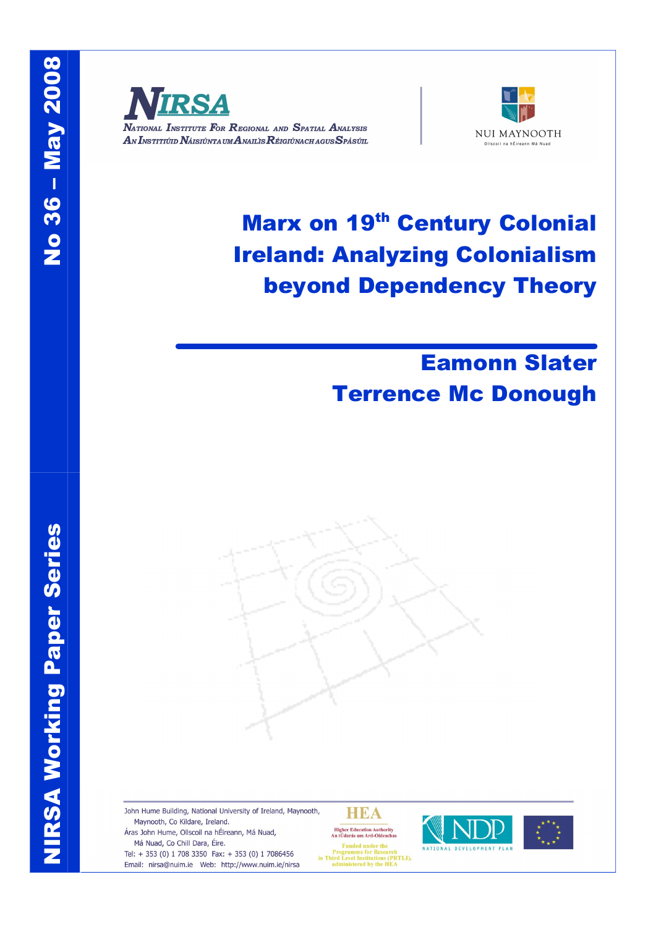

NATIONAL INSTITUTE FOR REGIONAL AND SPATIAL ANALYSIS AN INSTITIÚID NÁISIÚNTA UM ANAILIS RÉIGIÚNACH AGUS SPÁSÚIL



# Marx on 19<sup>th</sup> Century Colonial Ireland: Analyzing Colonialism beyond Dependency Theory

## Eamonn Slater Terrence Mc Donough



Maynooth, Co Kildare, Ireland. Má Nuad, Co Chill Dara, Éire.

Tel: + 353 (0) 1 708 3350 Fax: + 353 (0) 1 7086456 Email: nirsa@nuim.ie Web: http://www.nuim.ie/nirsa

HEA Higher Education Authority<br>An tÚdarás um Ard-Oideachas

**Eunded** a

runces under the<br>Programme for Research<br>in Third Level Institutions (PRTLI),<br>administered by the HEA



Z | RSA Wo<br>Nati rkin g Pa p. er Series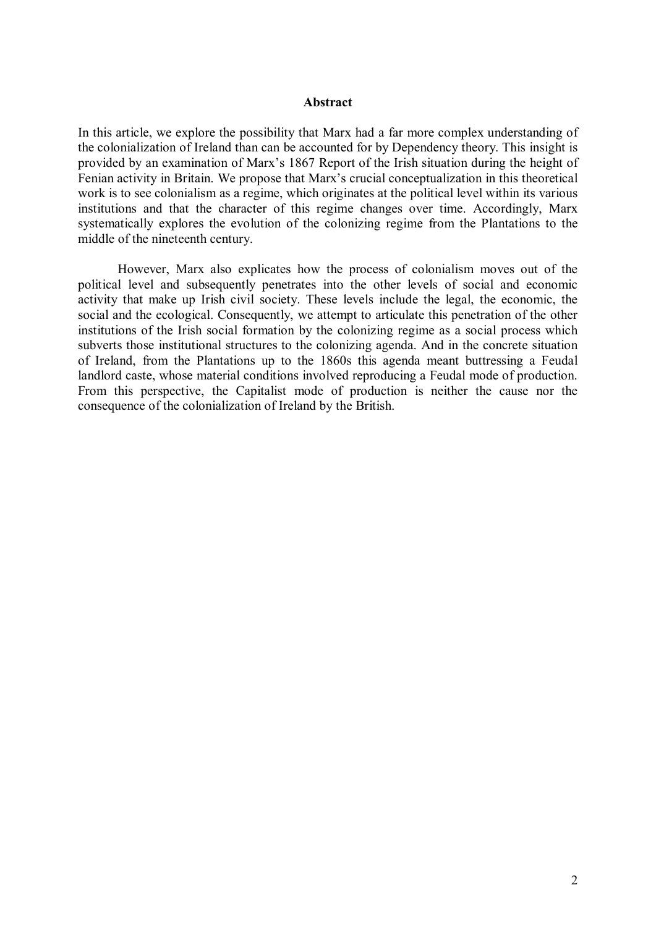#### **Abstract**

In this article, we explore the possibility that Marx had a far more complex understanding of the colonialization of Ireland than can be accounted for by Dependency theory. This insight is provided by an examination of Marx's 1867 Report of the Irish situation during the height of Fenian activity in Britain. We propose that Marx's crucial conceptualization in this theoretical work is to see colonialism as a regime, which originates at the political level within its various institutions and that the character of this regime changes over time. Accordingly, Marx systematically explores the evolution of the colonizing regime from the Plantations to the middle of the nineteenth century.

However, Marx also explicates how the process of colonialism moves out of the political level and subsequently penetrates into the other levels of social and economic activity that make up Irish civil society. These levels include the legal, the economic, the social and the ecological. Consequently, we attempt to articulate this penetration of the other institutions of the Irish social formation by the colonizing regime as a social process which subverts those institutional structures to the colonizing agenda. And in the concrete situation of Ireland, from the Plantations up to the 1860s this agenda meant buttressing a Feudal landlord caste, whose material conditions involved reproducing a Feudal mode of production. From this perspective, the Capitalist mode of production is neither the cause nor the consequence of the colonialization of Ireland by the British.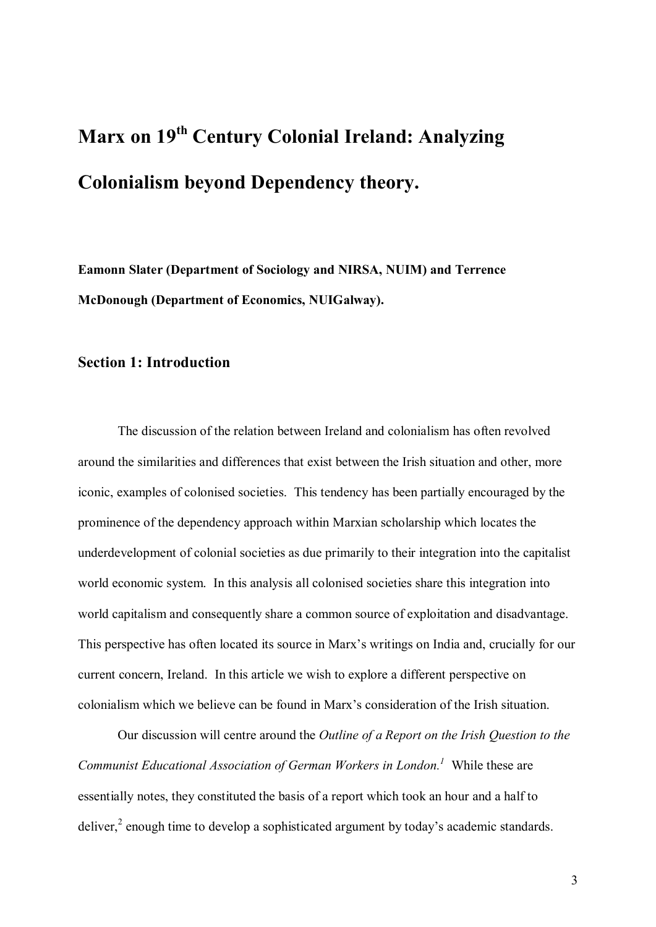# **Marx on 19 th Century Colonial Ireland: Analyzing Colonialism beyond Dependency theory.**

**Eamonn Slater (Department of Sociology and NIRSA, NUIM) and Terrence McDonough (Department of Economics, NUIGalway).**

#### **Section 1: Introduction**

The discussion of the relation between Ireland and colonialism has often revolved around the similarities and differences that exist between the Irish situation and other, more iconic, examples of colonised societies. This tendency has been partially encouraged by the prominence of the dependency approach within Marxian scholarship which locates the underdevelopment of colonial societies as due primarily to their integration into the capitalist world economic system. In this analysis all colonised societies share this integration into world capitalism and consequently share a common source of exploitation and disadvantage. This perspective has often located its source in Marx's writings on India and, crucially for our current concern, Ireland. In this article we wish to explore a different perspective on colonialism which we believe can be found in Marx's consideration of the Irish situation.

Our discussion will centre around the *Outline of a Report on the Irish Question to the Communist Educational Association of German Workers in London.<sup>1</sup>* While these are essentially notes, they constituted the basis of a report which took an hour and a half to deliver,<sup>2</sup> enough time to develop a sophisticated argument by today's academic standards.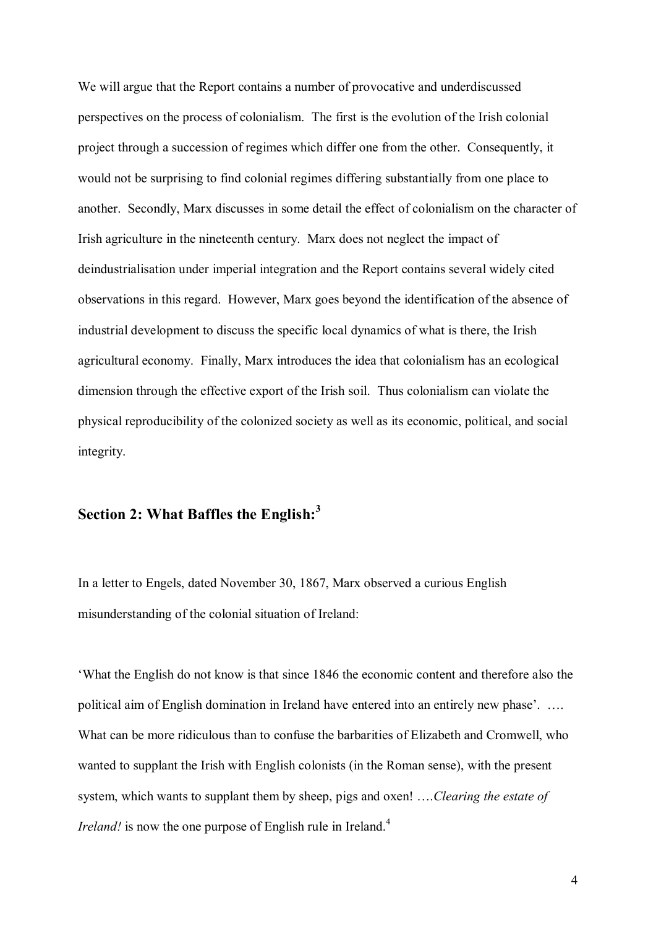We will argue that the Report contains a number of provocative and underdiscussed perspectives on the process of colonialism. The first is the evolution of the Irish colonial project through a succession of regimes which differ one from the other. Consequently, it would not be surprising to find colonial regimes differing substantially from one place to another. Secondly, Marx discusses in some detail the effect of colonialism on the character of Irish agriculture in the nineteenth century. Marx does not neglect the impact of deindustrialisation under imperial integration and the Report contains several widely cited observations in this regard. However, Marx goes beyond the identification of the absence of industrial development to discuss the specific local dynamics of what is there, the Irish agricultural economy. Finally, Marx introduces the idea that colonialism has an ecological dimension through the effective export of the Irish soil. Thus colonialism can violate the physical reproducibility of the colonized society as well as its economic, political, and social integrity.

#### **Section 2: What Baffles the English: 3**

In a letter to Engels, dated November 30, 1867, Marx observed a curious English misunderstanding of the colonial situation of Ireland:

'What the English do not know is that since 1846 the economic content and therefore also the political aim of English domination in Ireland have entered into an entirely new phase'. …. What can be more ridiculous than to confuse the barbarities of Elizabeth and Cromwell, who wanted to supplant the Irish with English colonists (in the Roman sense), with the present system, which wants to supplant them by sheep, pigs and oxen! ….*Clearing the estate of Ireland!* is now the one purpose of English rule in Ireland.<sup>4</sup>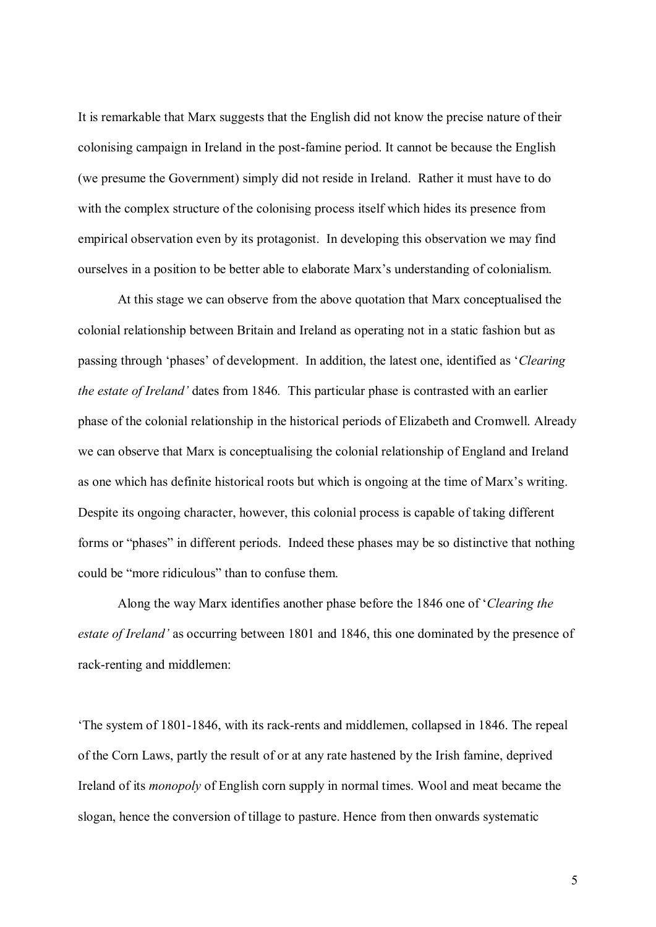It is remarkable that Marx suggests that the English did not know the precise nature of their colonising campaign in Ireland in the post-famine period. It cannot be because the English (we presume the Government) simply did not reside in Ireland. Rather it must have to do with the complex structure of the colonising process itself which hides its presence from empirical observation even by its protagonist. In developing this observation we may find ourselves in a position to be better able to elaborate Marx's understanding of colonialism.

At this stage we can observe from the above quotation that Marx conceptualised the colonial relationship between Britain and Ireland as operating not in a static fashion but as passing through 'phases' of development. In addition, the latest one, identified as '*Clearing the estate of Ireland'* dates from 1846*.* This particular phase is contrasted with an earlier phase of the colonial relationship in the historical periods of Elizabeth and Cromwell. Already we can observe that Marx is conceptualising the colonial relationship of England and Ireland as one which has definite historical roots but which is ongoing at the time of Marx's writing. Despite its ongoing character, however, this colonial process is capable of taking different forms or "phases" in different periods. Indeed these phases may be so distinctive that nothing could be "more ridiculous" than to confuse them.

Along the way Marx identifies another phase before the 1846 one of '*Clearing the estate of Ireland'* as occurring between 1801 and 1846, this one dominated by the presence of rack-renting and middlemen:

'The system of 1801-1846, with its rack-rents and middlemen, collapsed in 1846. The repeal of the Corn Laws, partly the result of or at any rate hastened by the Irish famine, deprived Ireland of its *monopoly* of English corn supply in normal times. Wool and meat became the slogan, hence the conversion of tillage to pasture. Hence from then onwards systematic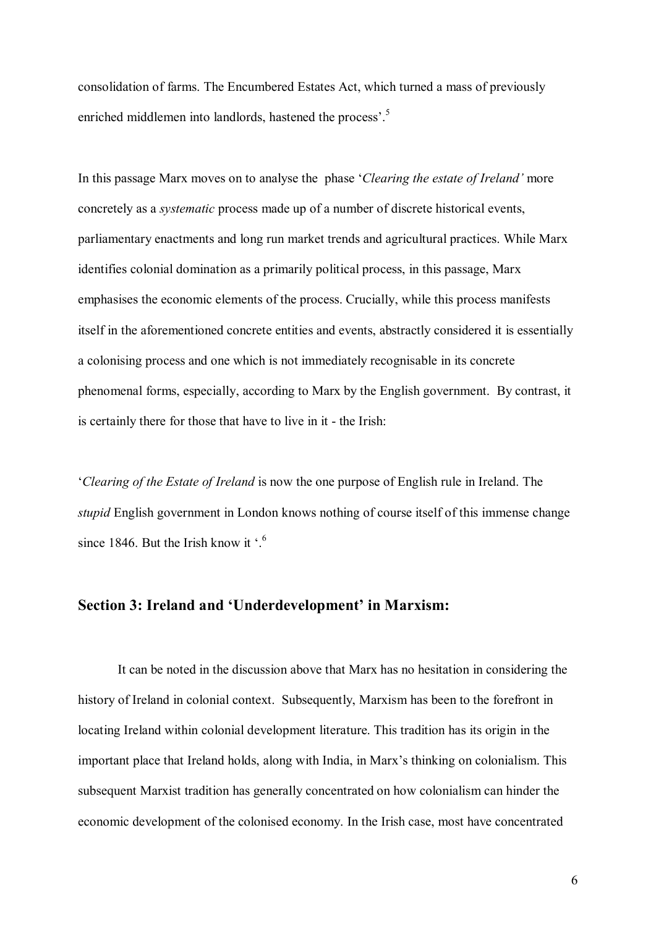consolidation of farms. The Encumbered Estates Act, which turned a mass of previously enriched middlemen into landlords, hastened the process'.<sup>5</sup>

In this passage Marx moves on to analyse the phase '*Clearing the estate of Ireland'* more concretely as a *systematic* process made up of a number of discrete historical events, parliamentary enactments and long run market trends and agricultural practices. While Marx identifies colonial domination as a primarily political process, in this passage, Marx emphasises the economic elements of the process. Crucially, while this process manifests itself in the aforementioned concrete entities and events, abstractly considered it is essentially a colonising process and one which is not immediately recognisable in its concrete phenomenal forms, especially, according to Marx by the English government. By contrast, it is certainly there for those that have to live in it - the Irish:

'*Clearing of the Estate of Ireland* is now the one purpose of English rule in Ireland. The *stupid* English government in London knows nothing of course itself of this immense change since 1846. But the Irish know it '.<sup>6</sup>

#### **Section 3: Ireland and 'Underdevelopment' in Marxism:**

It can be noted in the discussion above that Marx has no hesitation in considering the history of Ireland in colonial context. Subsequently, Marxism has been to the forefront in locating Ireland within colonial development literature. This tradition has its origin in the important place that Ireland holds, along with India, in Marx's thinking on colonialism. This subsequent Marxist tradition has generally concentrated on how colonialism can hinder the economic development of the colonised economy. In the Irish case, most have concentrated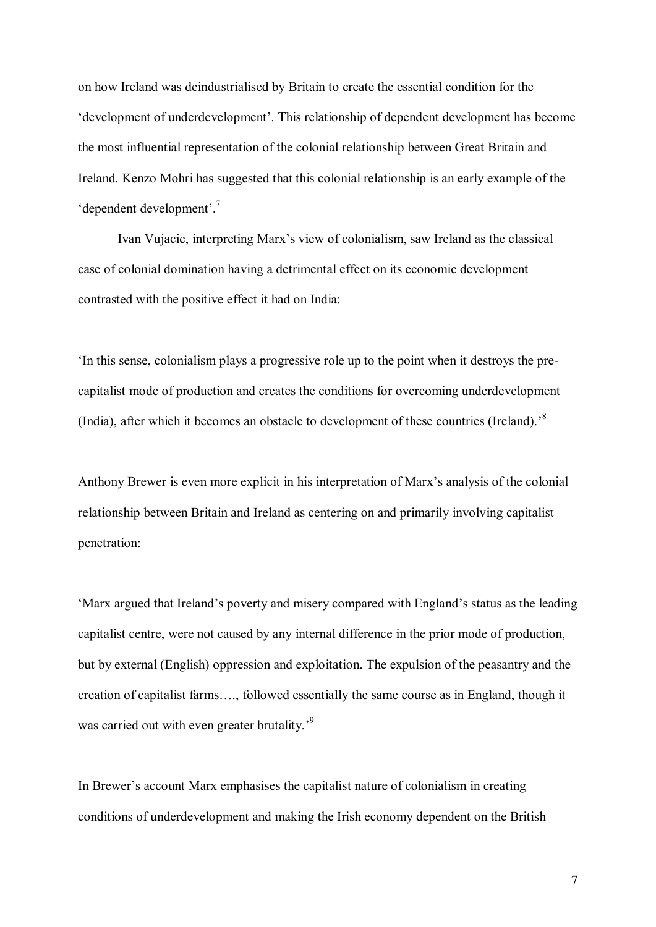on how Ireland was deindustrialised by Britain to create the essential condition for the 'development of underdevelopment'. This relationship of dependent development has become the most influential representation of the colonial relationship between Great Britain and Ireland. Kenzo Mohri has suggested that this colonial relationship is an early example of the 'dependent development'.<sup>7</sup>

Ivan Vujacic, interpreting Marx's view of colonialism, saw Ireland as the classical case of colonial domination having a detrimental effect on its economic development contrasted with the positive effect it had on India:

'In this sense, colonialism plays a progressive role up to the point when it destroys the pre capitalist mode of production and creates the conditions for overcoming underdevelopment (India), after which it becomes an obstacle to development of these countries (Ireland).<sup>8</sup>

Anthony Brewer is even more explicit in his interpretation of Marx's analysis of the colonial relationship between Britain and Ireland as centering on and primarily involving capitalist penetration:

'Marx argued that Ireland's poverty and misery compared with England's status as the leading capitalist centre, were not caused by any internal difference in the prior mode of production, but by external (English) oppression and exploitation. The expulsion of the peasantry and the creation of capitalist farms…., followed essentially the same course as in England, though it was carried out with even greater brutality.<sup>59</sup>

In Brewer's account Marx emphasises the capitalist nature of colonialism in creating conditions of underdevelopment and making the Irish economy dependent on the British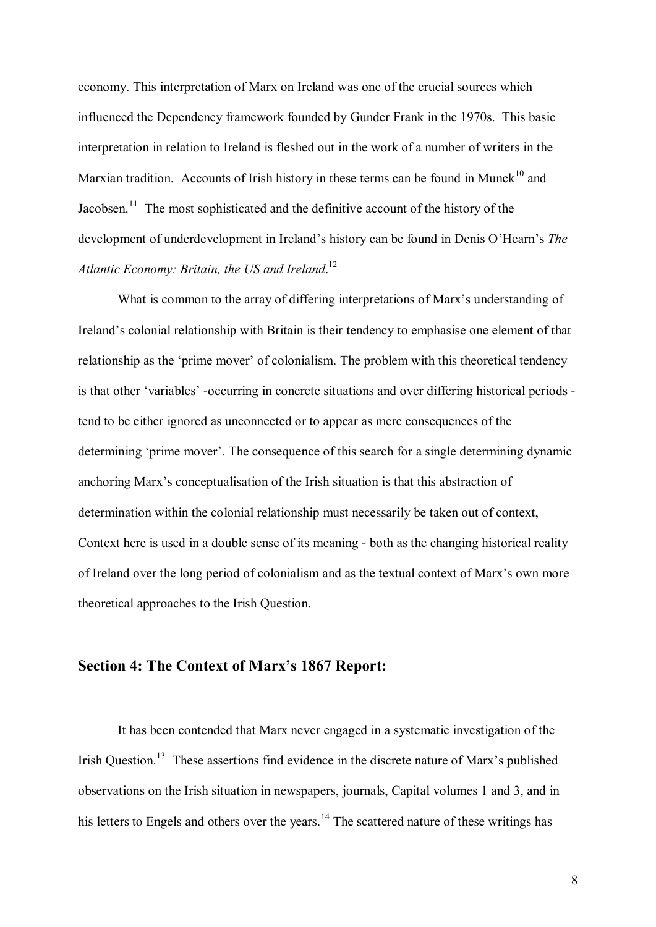economy. This interpretation of Marx on Ireland was one of the crucial sources which influenced the Dependency framework founded by Gunder Frank in the 1970s. This basic interpretation in relation to Ireland is fleshed out in the work of a number of writers in the Marxian tradition. Accounts of Irish history in these terms can be found in Munck<sup>10</sup> and Jacobsen.<sup>11</sup> The most sophisticated and the definitive account of the history of the development of underdevelopment in Ireland's history can be found in Denis O'Hearn's *The Atlantic Economy: Britain, the US and Ireland*.<sup>12</sup>

What is common to the array of differing interpretations of Marx's understanding of Ireland's colonial relationship with Britain is their tendency to emphasise one element of that relationship as the 'prime mover' of colonialism. The problem with this theoretical tendency is that other 'variables' -occurring in concrete situations and over differing historical periods tend to be either ignored as unconnected or to appear as mere consequences of the determining 'prime mover'. The consequence of this search for a single determining dynamic anchoring Marx's conceptualisation of the Irish situation is that this abstraction of determination within the colonial relationship must necessarily be taken out of context, Context here is used in a double sense of its meaning - both as the changing historical reality of Ireland over the long period of colonialism and as the textual context of Marx's own more theoretical approaches to the Irish Question.

#### **Section 4: The Context of Marx's 1867 Report:**

It has been contended that Marx never engaged in a systematic investigation of the Irish Question.<sup>13</sup> These assertions find evidence in the discrete nature of Marx's published observations on the Irish situation in newspapers, journals, Capital volumes 1 and 3, and in his letters to Engels and others over the years.<sup>14</sup> The scattered nature of these writings has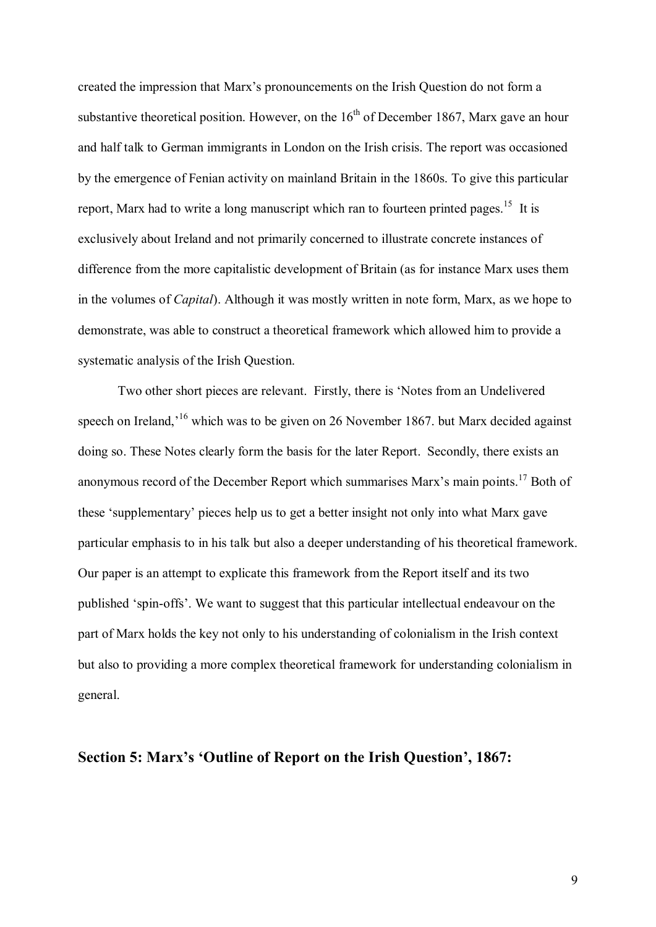created the impression that Marx's pronouncements on the Irish Question do not form a substantive theoretical position. However, on the  $16<sup>th</sup>$  of December 1867, Marx gave an hour and half talk to German immigrants in London on the Irish crisis. The report was occasioned by the emergence of Fenian activity on mainland Britain in the 1860s. To give this particular report, Marx had to write a long manuscript which ran to fourteen printed pages.<sup>15</sup> It is exclusively about Ireland and not primarily concerned to illustrate concrete instances of difference from the more capitalistic development of Britain (as for instance Marx uses them in the volumes of *Capital*). Although it was mostly written in note form, Marx, as we hope to demonstrate, was able to construct a theoretical framework which allowed him to provide a systematic analysis of the Irish Question.

Two other short pieces are relevant. Firstly, there is 'Notes from an Undelivered speech on Ireland,<sup>16</sup> which was to be given on 26 November 1867. but Marx decided against doing so. These Notes clearly form the basis for the later Report. Secondly, there exists an anonymous record of the December Report which summarises Marx's main points.<sup>17</sup> Both of these 'supplementary' pieces help us to get a better insight not only into what Marx gave particular emphasis to in his talk but also a deeper understanding of his theoretical framework. Our paper is an attempt to explicate this framework from the Report itself and its two published 'spin-offs'. We want to suggest that this particular intellectual endeavour on the part of Marx holds the key not only to his understanding of colonialism in the Irish context but also to providing a more complex theoretical framework for understanding colonialism in general.

#### **Section 5: Marx's 'Outline of Report on the Irish Question', 1867:**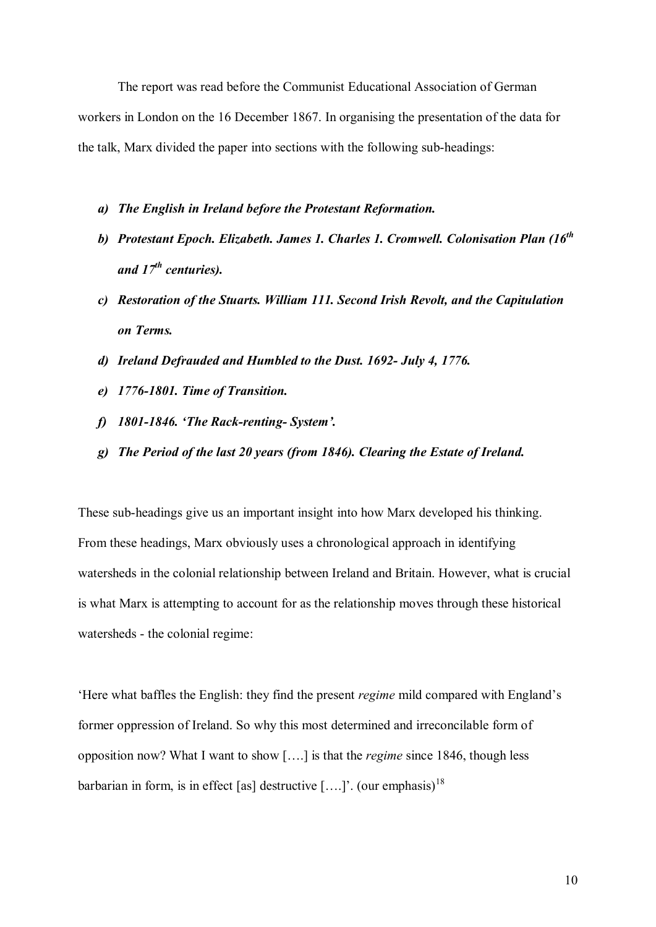The report was read before the Communist Educational Association of German workers in London on the 16 December 1867. In organising the presentation of the data for the talk, Marx divided the paper into sections with the following sub-headings:

- *a) The English in Ireland before the Protestant Reformation.*
- *b) Protestant Epoch. Elizabeth. James 1. Charles 1. Cromwell. Colonisation Plan (16 th and 17 th centuries).*
- *c) Restoration of the Stuarts. William 111. Second Irish Revolt, and the Capitulation on Terms.*
- *d) Ireland Defrauded and Humbled to the Dust. 1692 July 4, 1776.*
- *e) 17761801. Time of Transition.*
- *f*) **1801-1846.** *'The Rack-renting-System'.*
- *g) The Period of the last 20 years (from 1846). Clearing the Estate of Ireland.*

These sub-headings give us an important insight into how Marx developed his thinking. From these headings, Marx obviously uses a chronological approach in identifying watersheds in the colonial relationship between Ireland and Britain. However, what is crucial is what Marx is attempting to account for as the relationship moves through these historical watersheds - the colonial regime:

'Here what baffles the English: they find the present *regime* mild compared with England's former oppression of Ireland. So why this most determined and irreconcilable form of opposition now? What I want to show [….] is that the *regime* since 1846, though less barbarian in form, is in effect [as] destructive  $[...]$ <sup>2</sup>. (our emphasis)<sup>18</sup>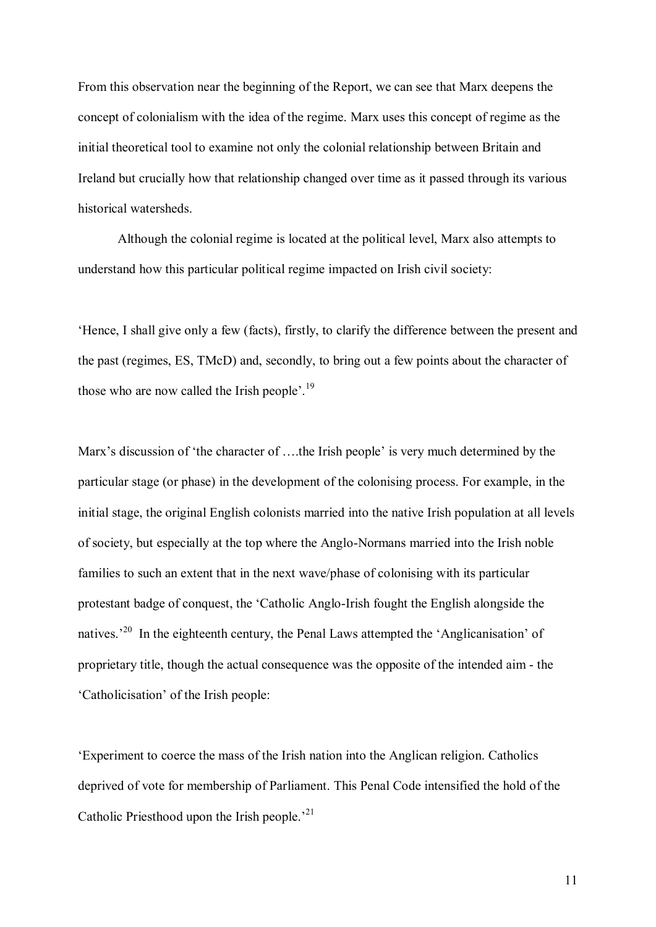From this observation near the beginning of the Report, we can see that Marx deepens the concept of colonialism with the idea of the regime. Marx uses this concept of regime as the initial theoretical tool to examine not only the colonial relationship between Britain and Ireland but crucially how that relationship changed over time as it passed through its various historical watersheds.

Although the colonial regime is located at the political level, Marx also attempts to understand how this particular political regime impacted on Irish civil society:

'Hence, I shall give only a few (facts), firstly, to clarify the difference between the present and the past (regimes, ES, TMcD) and, secondly, to bring out a few points about the character of those who are now called the Irish people'.<sup>19</sup>

Marx's discussion of 'the character of ….the Irish people' is very much determined by the particular stage (or phase) in the development of the colonising process. For example, in the initial stage, the original English colonists married into the native Irish population at all levels of society, but especially at the top where the Anglo-Normans married into the Irish noble families to such an extent that in the next wave/phase of colonising with its particular protestant badge of conquest, the 'Catholic Anglo-Irish fought the English alongside the natives.<sup>20</sup> In the eighteenth century, the Penal Laws attempted the 'Anglicanisation' of proprietary title, though the actual consequence was the opposite of the intended aim the 'Catholicisation' of the Irish people:

'Experiment to coerce the mass of the Irish nation into the Anglican religion. Catholics deprived of vote for membership of Parliament. This Penal Code intensified the hold of the Catholic Priesthood upon the Irish people.<sup>21</sup>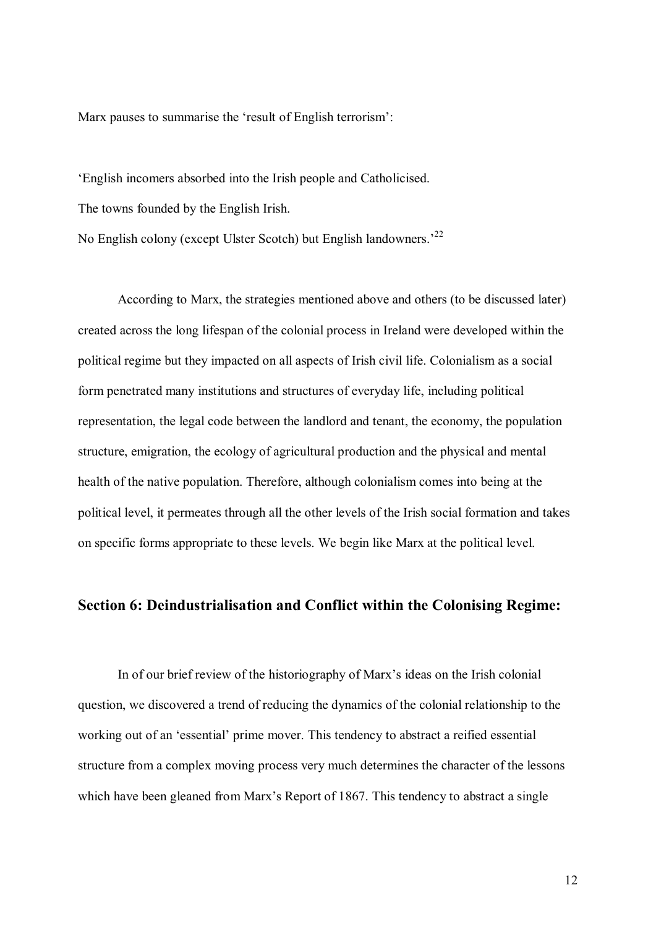Marx pauses to summarise the 'result of English terrorism':

'English incomers absorbed into the Irish people and Catholicised. The towns founded by the English Irish.

No English colony (except Ulster Scotch) but English landowners.'<sup>22</sup>

According to Marx, the strategies mentioned above and others (to be discussed later) created across the long lifespan of the colonial process in Ireland were developed within the political regime but they impacted on all aspects of Irish civil life. Colonialism as a social form penetrated many institutions and structures of everyday life, including political representation, the legal code between the landlord and tenant, the economy, the population structure, emigration, the ecology of agricultural production and the physical and mental health of the native population. Therefore, although colonialism comes into being at the political level, it permeates through all the other levels of the Irish social formation and takes on specific forms appropriate to these levels. We begin like Marx at the political level.

#### **Section 6: Deindustrialisation and Conflict within the Colonising Regime:**

In of our brief review of the historiography of Marx's ideas on the Irish colonial question, we discovered a trend of reducing the dynamics of the colonial relationship to the working out of an 'essential' prime mover. This tendency to abstract a reified essential structure from a complex moving process very much determines the character of the lessons which have been gleaned from Marx's Report of 1867. This tendency to abstract a single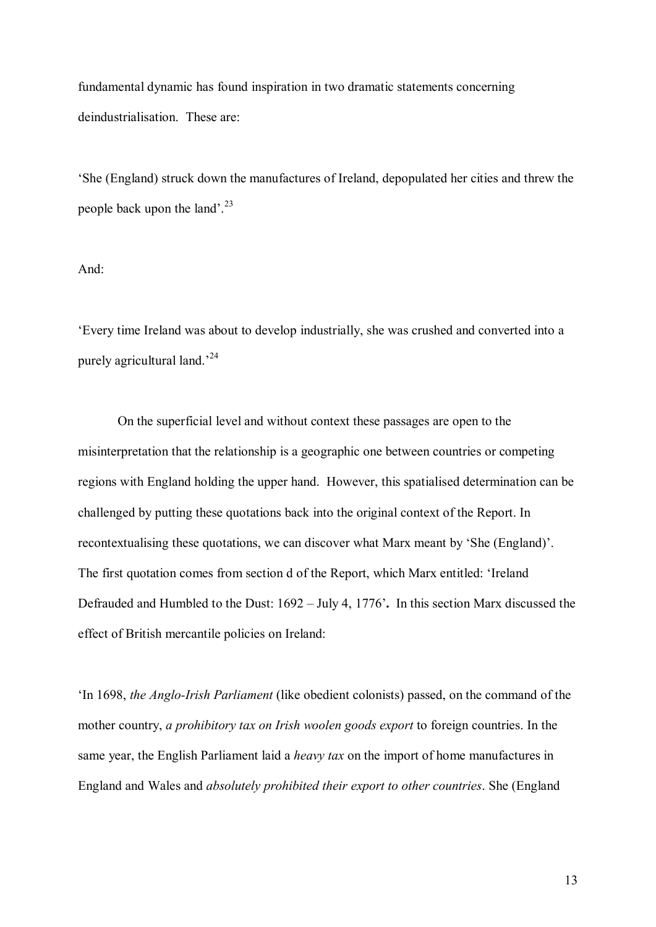fundamental dynamic has found inspiration in two dramatic statements concerning deindustrialisation. These are:

'She (England) struck down the manufactures of Ireland, depopulated her cities and threw the people back upon the land'. $^{23}$ 

#### And:

'Every time Ireland was about to develop industrially, she was crushed and converted into a purely agricultural land.<sup>24</sup>

On the superficial level and without context these passages are open to the misinterpretation that the relationship is a geographic one between countries or competing regions with England holding the upper hand. However, this spatialised determination can be challenged by putting these quotations back into the original context of the Report. In recontextualising these quotations, we can discover what Marx meant by 'She (England)'. The first quotation comes from section d of the Report, which Marx entitled: 'Ireland Defrauded and Humbled to the Dust: 1692 – July 4, 1776'**.** In this section Marx discussed the effect of British mercantile policies on Ireland:

'In 1698, *the Anglo-Irish Parliament* (like obedient colonists) passed, on the command of the mother country, *a prohibitory tax on Irish woolen goods export* to foreign countries. In the same year, the English Parliament laid a *heavy tax* on the import of home manufactures in England and Wales and *absolutely prohibited their export to other countries*. She (England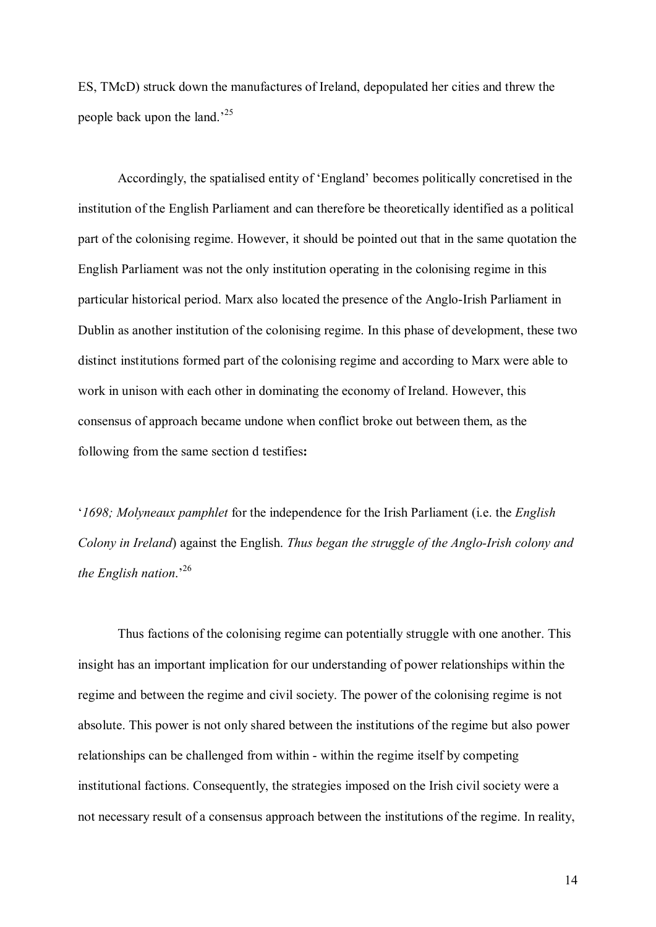ES, TMcD) struck down the manufactures of Ireland, depopulated her cities and threw the people back upon the land.' 25

Accordingly, the spatialised entity of 'England' becomes politically concretised in the institution of the English Parliament and can therefore be theoretically identified as a political part of the colonising regime. However, it should be pointed out that in the same quotation the English Parliament was not the only institution operating in the colonising regime in this particular historical period. Marx also located the presence of the Anglo-Irish Parliament in Dublin as another institution of the colonising regime. In this phase of development, these two distinct institutions formed part of the colonising regime and according to Marx were able to work in unison with each other in dominating the economy of Ireland. However, this consensus of approach became undone when conflict broke out between them, as the following from the same section d testifies**:**

'*1698; Molyneaux pamphlet* for the independence for the Irish Parliament (i.e. the *English Colony in Ireland*) against the English. *Thus began the struggle of the Anglo-Irish colony and the English nation*.' 26

Thus factions of the colonising regime can potentially struggle with one another. This insight has an important implication for our understanding of power relationships within the regime and between the regime and civil society. The power of the colonising regime is not absolute. This power is not only shared between the institutions of the regime but also power relationships can be challenged from within - within the regime itself by competing institutional factions. Consequently, the strategies imposed on the Irish civil society were a not necessary result of a consensus approach between the institutions of the regime. In reality,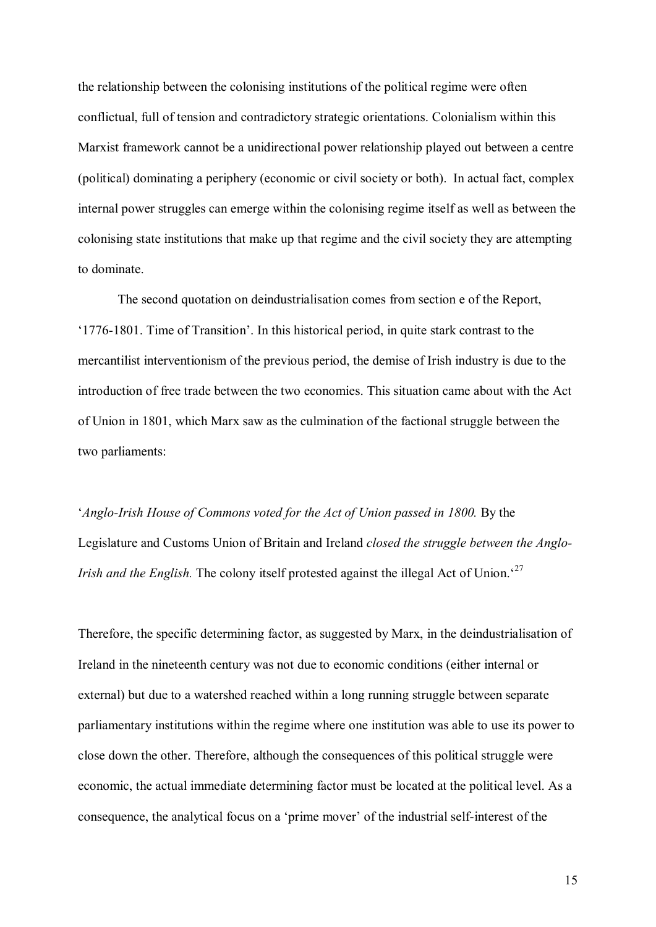the relationship between the colonising institutions of the political regime were often conflictual, full of tension and contradictory strategic orientations. Colonialism within this Marxist framework cannot be a unidirectional power relationship played out between a centre (political) dominating a periphery (economic or civil society or both). In actual fact, complex internal power struggles can emerge within the colonising regime itself as well as between the colonising state institutions that make up that regime and the civil society they are attempting to dominate.

The second quotation on deindustrialisation comes from section e of the Report, '17761801. Time of Transition'. In this historical period, in quite stark contrast to the mercantilist interventionism of the previous period, the demise of Irish industry is due to the introduction of free trade between the two economies. This situation came about with the Act of Union in 1801, which Marx saw as the culmination of the factional struggle between the two parliaments:

'*Anglo-Irish House of Commons voted for the Act of Union passed in 1800.* By the Legislature and Customs Union of Britain and Ireland *closed the struggle between the Anglo-Irish and the English*. The colony itself protested against the illegal Act of Union.<sup>27</sup>

Therefore, the specific determining factor, as suggested by Marx, in the deindustrialisation of Ireland in the nineteenth century was not due to economic conditions (either internal or external) but due to a watershed reached within a long running struggle between separate parliamentary institutions within the regime where one institution was able to use its power to close down the other. Therefore, although the consequences of this political struggle were economic, the actual immediate determining factor must be located at the political level. As a consequence, the analytical focus on a 'prime mover' of the industrial self-interest of the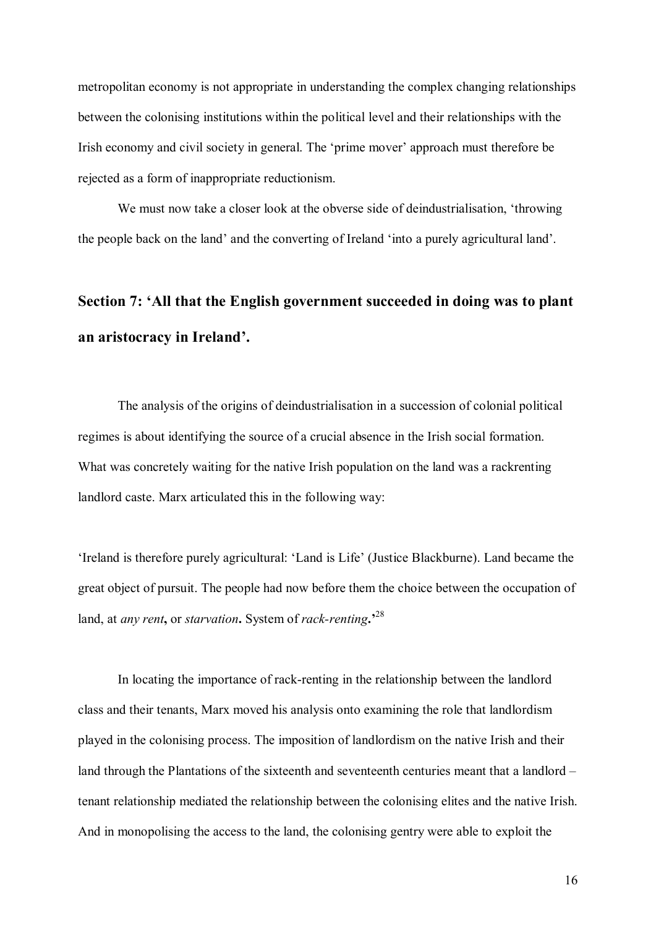metropolitan economy is not appropriate in understanding the complex changing relationships between the colonising institutions within the political level and their relationships with the Irish economy and civil society in general. The 'prime mover' approach must therefore be rejected as a form of inappropriate reductionism.

We must now take a closer look at the obverse side of deindustrialisation, 'throwing the people back on the land' and the converting of Ireland 'into a purely agricultural land'.

## **Section 7: 'All that the English government succeeded in doing was to plant an aristocracy in Ireland'.**

The analysis of the origins of deindustrialisation in a succession of colonial political regimes is about identifying the source of a crucial absence in the Irish social formation. What was concretely waiting for the native Irish population on the land was a rackrenting landlord caste. Marx articulated this in the following way:

'Ireland is therefore purely agricultural: 'Land is Life' (Justice Blackburne). Land became the great object of pursuit. The people had now before them the choice between the occupation of land, at *any rent*, or *starvation*. System of *rack-renting*.<sup>28</sup>

In locating the importance of rack-renting in the relationship between the landlord class and their tenants, Marx moved his analysis onto examining the role that landlordism played in the colonising process. The imposition of landlordism on the native Irish and their land through the Plantations of the sixteenth and seventeenth centuries meant that a landlord – tenant relationship mediated the relationship between the colonising elites and the native Irish. And in monopolising the access to the land, the colonising gentry were able to exploit the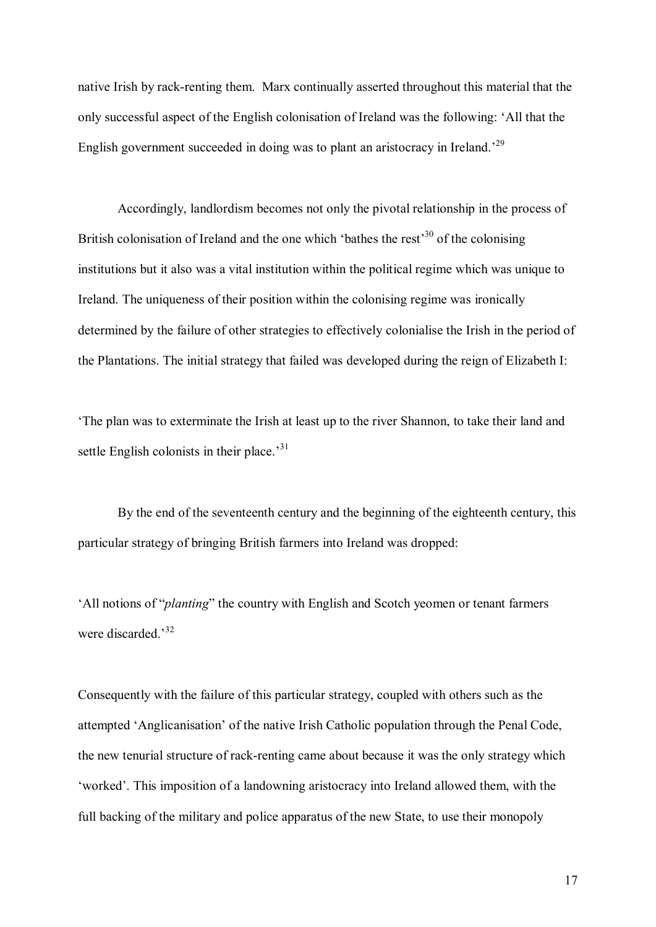native Irish by rack-renting them. Marx continually asserted throughout this material that the only successful aspect of the English colonisation of Ireland was the following: 'All that the English government succeeded in doing was to plant an aristocracy in Ireland.<sup>29</sup>

Accordingly, landlordism becomes not only the pivotal relationship in the process of British colonisation of Ireland and the one which 'bathes the rest'<sup>30</sup> of the colonising institutions but it also was a vital institution within the political regime which was unique to Ireland. The uniqueness of their position within the colonising regime was ironically determined by the failure of other strategies to effectively colonialise the Irish in the period of the Plantations. The initial strategy that failed was developed during the reign of Elizabeth I:

'The plan was to exterminate the Irish at least up to the river Shannon, to take their land and settle English colonists in their place.<sup>31</sup>

By the end of the seventeenth century and the beginning of the eighteenth century, this particular strategy of bringing British farmers into Ireland was dropped:

'All notions of "*planting*" the country with English and Scotch yeomen or tenant farmers were discarded<sup>32</sup>

Consequently with the failure of this particular strategy, coupled with others such as the attempted 'Anglicanisation' of the native Irish Catholic population through the Penal Code, the new tenurial structure of rack-renting came about because it was the only strategy which 'worked'. This imposition of a landowning aristocracy into Ireland allowed them, with the full backing of the military and police apparatus of the new State, to use their monopoly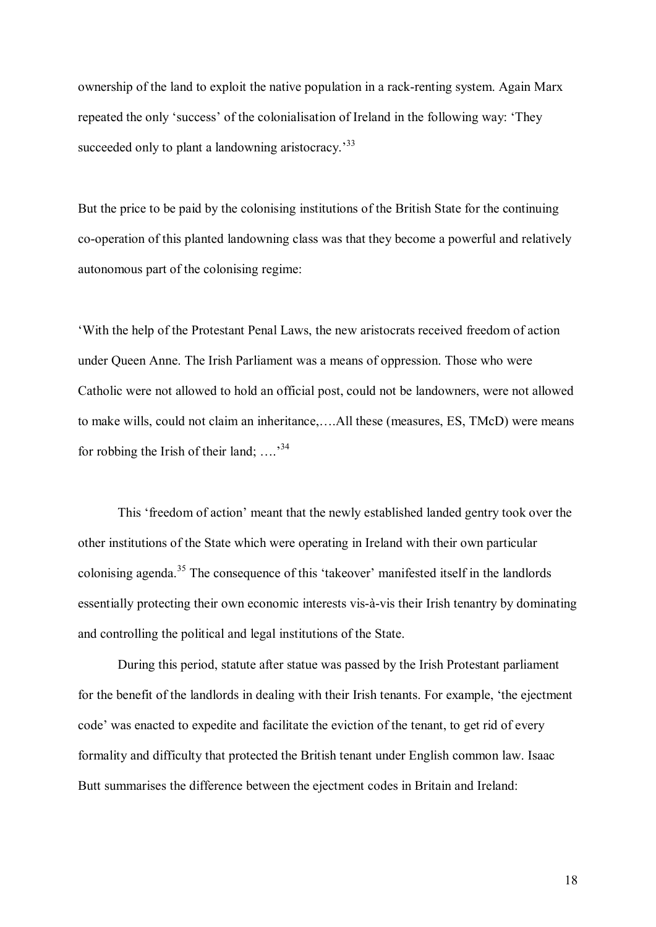ownership of the land to exploit the native population in a rack-renting system. Again Marx repeated the only 'success' of the colonialisation of Ireland in the following way: 'They succeeded only to plant a landowning aristocracy.<sup>33</sup>

But the price to be paid by the colonising institutions of the British State for the continuing co-operation of this planted landowning class was that they become a powerful and relatively autonomous part of the colonising regime:

'With the help of the Protestant Penal Laws, the new aristocrats received freedom of action under Queen Anne. The Irish Parliament was a means of oppression. Those who were Catholic were not allowed to hold an official post, could not be landowners, were not allowed to make wills, could not claim an inheritance,….All these (measures, ES, TMcD) were means for robbing the Irish of their land; ....<sup>34</sup>

This 'freedom of action' meant that the newly established landed gentry took over the other institutions of the State which were operating in Ireland with their own particular colonising agenda. <sup>35</sup> The consequence of this 'takeover' manifested itself in the landlords essentially protecting their own economic interests vis-à-vis their Irish tenantry by dominating and controlling the political and legal institutions of the State.

During this period, statute after statue was passed by the Irish Protestant parliament for the benefit of the landlords in dealing with their Irish tenants. For example, 'the ejectment code' was enacted to expedite and facilitate the eviction of the tenant, to get rid of every formality and difficulty that protected the British tenant under English common law. Isaac Butt summarises the difference between the ejectment codes in Britain and Ireland: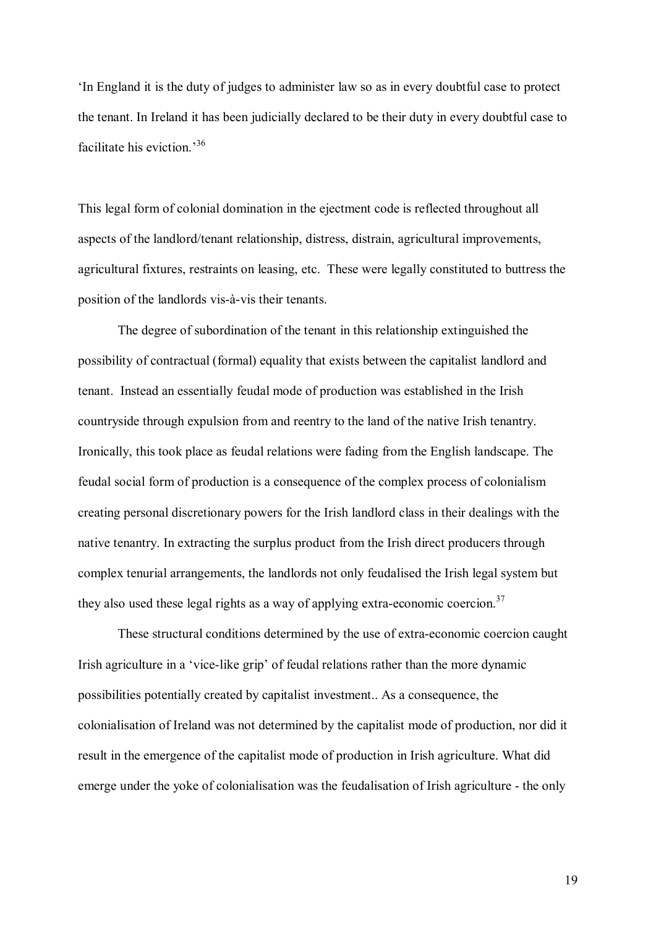'In England it is the duty of judges to administer law so as in every doubtful case to protect the tenant. In Ireland it has been judicially declared to be their duty in every doubtful case to facilitate his eviction.' 36

This legal form of colonial domination in the ejectment code is reflected throughout all aspects of the landlord/tenant relationship, distress, distrain, agricultural improvements, agricultural fixtures, restraints on leasing, etc. These were legally constituted to buttress the position of the landlords vis-à-vis their tenants.

The degree of subordination of the tenant in this relationship extinguished the possibility of contractual (formal) equality that exists between the capitalist landlord and tenant. Instead an essentially feudal mode of production was established in the Irish countryside through expulsion from and reentry to the land of the native Irish tenantry. Ironically, this took place as feudal relations were fading from the English landscape. The feudal social form of production is a consequence of the complex process of colonialism creating personal discretionary powers for the Irish landlord class in their dealings with the native tenantry. In extracting the surplus product from the Irish direct producers through complex tenurial arrangements, the landlords not only feudalised the Irish legal system but they also used these legal rights as a way of applying extra-economic coercion.<sup>37</sup>

These structural conditions determined by the use of extra-economic coercion caught Irish agriculture in a 'vice-like grip' of feudal relations rather than the more dynamic possibilities potentially created by capitalist investment.. As a consequence, the colonialisation of Ireland was not determined by the capitalist mode of production, nor did it result in the emergence of the capitalist mode of production in Irish agriculture. What did emerge under the yoke of colonialisation was the feudalisation of Irish agriculture - the only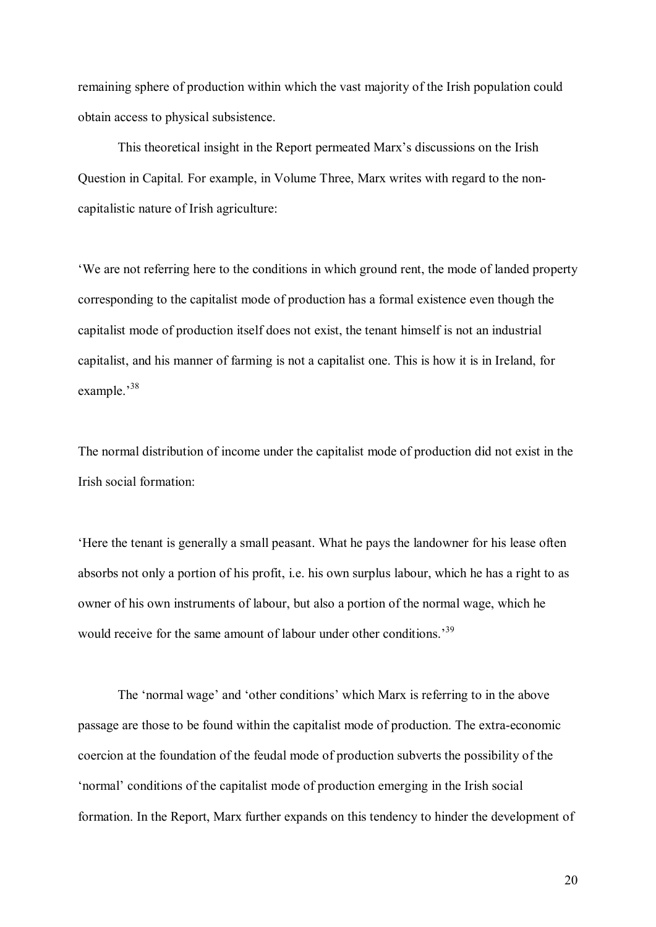remaining sphere of production within which the vast majority of the Irish population could obtain access to physical subsistence.

This theoretical insight in the Report permeated Marx's discussions on the Irish Question in Capital. For example, in Volume Three, Marx writes with regard to the noncapitalistic nature of Irish agriculture:

'We are not referring here to the conditions in which ground rent, the mode of landed property corresponding to the capitalist mode of production has a formal existence even though the capitalist mode of production itself does not exist, the tenant himself is not an industrial capitalist, and his manner of farming is not a capitalist one. This is how it is in Ireland, for example.'<sup>38</sup>

The normal distribution of income under the capitalist mode of production did not exist in the Irish social formation:

'Here the tenant is generally a small peasant. What he pays the landowner for his lease often absorbs not only a portion of his profit, i.e. his own surplus labour, which he has a right to as owner of his own instruments of labour, but also a portion of the normal wage, which he would receive for the same amount of labour under other conditions.<sup>39</sup>

The 'normal wage' and 'other conditions' which Marx is referring to in the above passage are those to be found within the capitalist mode of production. The extra-economic coercion at the foundation of the feudal mode of production subverts the possibility of the 'normal' conditions of the capitalist mode of production emerging in the Irish social formation. In the Report, Marx further expands on this tendency to hinder the development of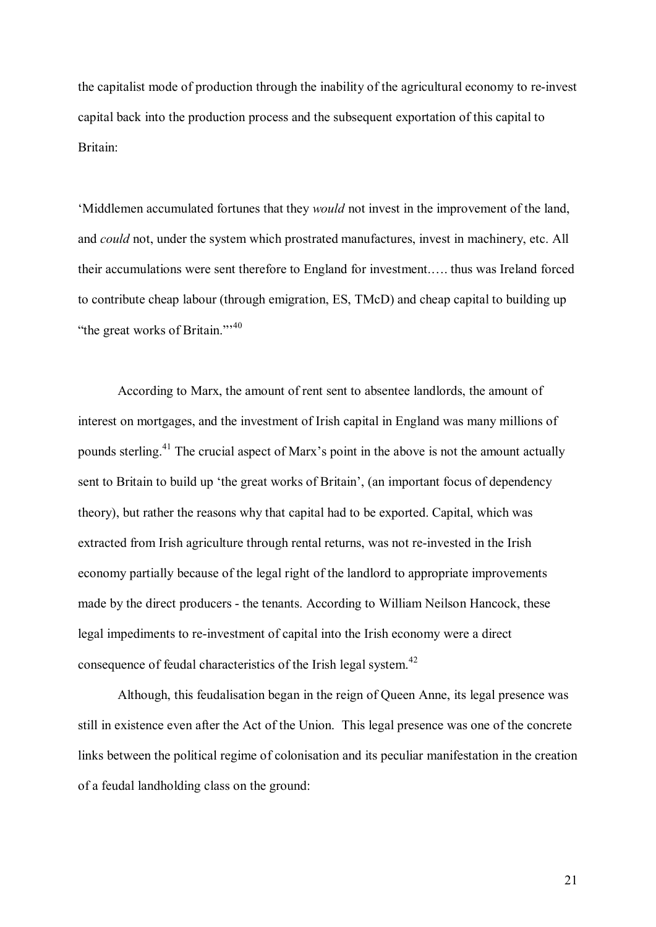the capitalist mode of production through the inability of the agricultural economy to re-invest capital back into the production process and the subsequent exportation of this capital to Britain:

'Middlemen accumulated fortunes that they *would* not invest in the improvement of the land, and *could* not, under the system which prostrated manufactures, invest in machinery, etc. All their accumulations were sent therefore to England for investment.…. thus was Ireland forced to contribute cheap labour (through emigration, ES, TMcD) and cheap capital to building up "the great works of Britain."<sup> $40$ </sup>

According to Marx, the amount of rent sent to absentee landlords, the amount of interest on mortgages, and the investment of Irish capital in England was many millions of pounds sterling.<sup>41</sup> The crucial aspect of Marx's point in the above is not the amount actually sent to Britain to build up 'the great works of Britain', (an important focus of dependency theory), but rather the reasons why that capital had to be exported. Capital, which was extracted from Irish agriculture through rental returns, was not re-invested in the Irish economy partially because of the legal right of the landlord to appropriate improvements made by the direct producers - the tenants. According to William Neilson Hancock, these legal impediments to re-investment of capital into the Irish economy were a direct consequence of feudal characteristics of the Irish legal system.<sup>42</sup>

Although, this feudalisation began in the reign of Queen Anne, its legal presence was still in existence even after the Act of the Union. This legal presence was one of the concrete links between the political regime of colonisation and its peculiar manifestation in the creation of a feudal landholding class on the ground: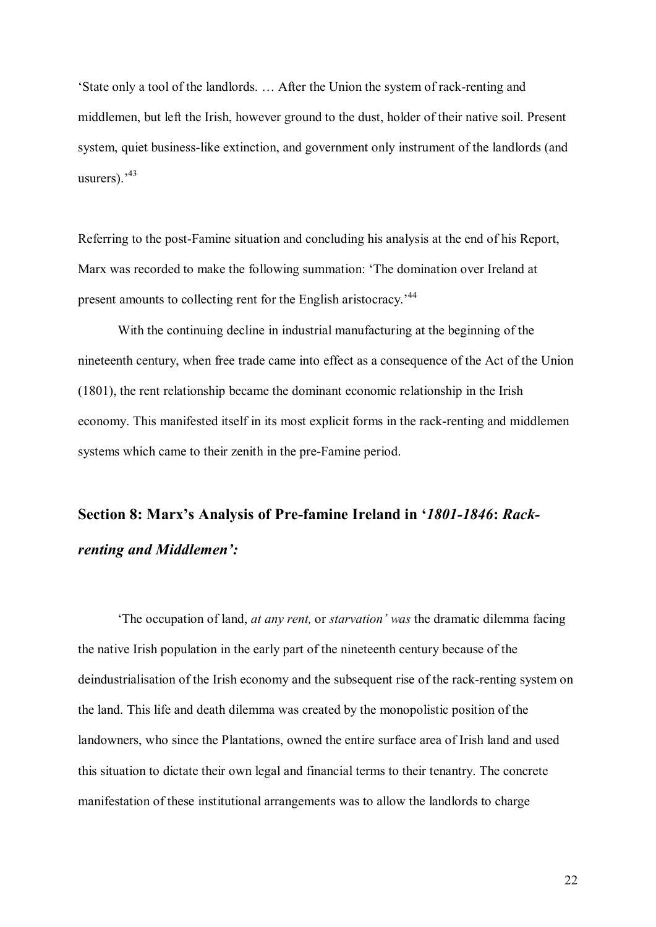'State only a tool of the landlords. ... After the Union the system of rack-renting and middlemen, but left the Irish, however ground to the dust, holder of their native soil. Present system, quiet business-like extinction, and government only instrument of the landlords (and usurers).<sup>,43</sup>

Referring to the post-Famine situation and concluding his analysis at the end of his Report, Marx was recorded to make the following summation: 'The domination over Ireland at present amounts to collecting rent for the English aristocracy.<sup>44</sup>

With the continuing decline in industrial manufacturing at the beginning of the nineteenth century, when free trade came into effect as a consequence of the Act of the Union (1801), the rent relationship became the dominant economic relationship in the Irish economy. This manifested itself in its most explicit forms in the rack-renting and middlemen systems which came to their zenith in the pre-Famine period.

## **Section 8: Marx's Analysis of Prefamine Ireland in '***18011846***:** *Rack renting and Middlemen':*

'The occupation of land, *at any rent,* or *starvation' was* the dramatic dilemma facing the native Irish population in the early part of the nineteenth century because of the deindustrialisation of the Irish economy and the subsequent rise of the rack-renting system on the land. This life and death dilemma was created by the monopolistic position of the landowners, who since the Plantations, owned the entire surface area of Irish land and used this situation to dictate their own legal and financial terms to their tenantry. The concrete manifestation of these institutional arrangements was to allow the landlords to charge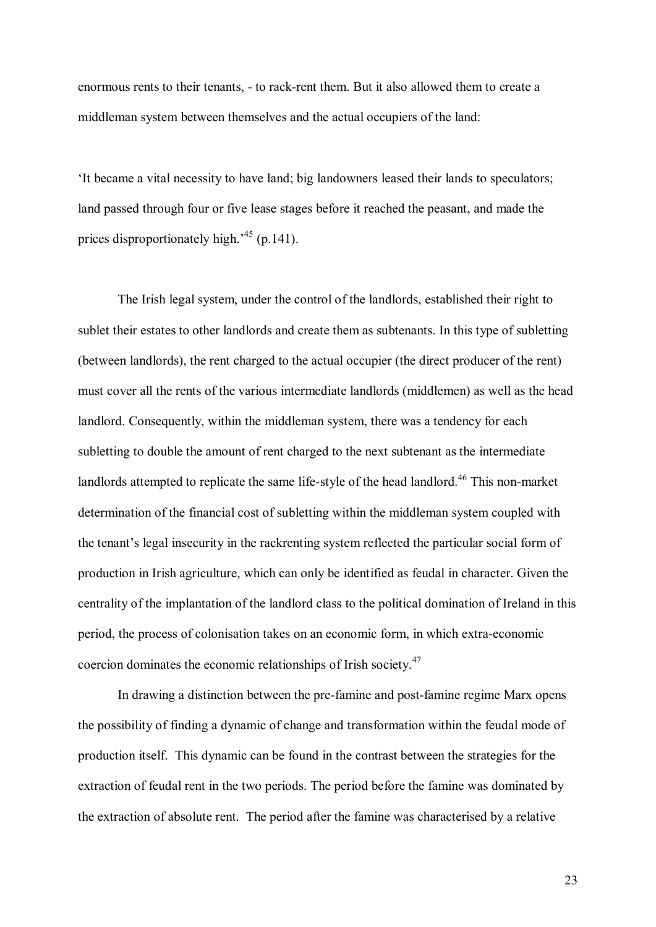enormous rents to their tenants, - to rack-rent them. But it also allowed them to create a middleman system between themselves and the actual occupiers of the land:

'It became a vital necessity to have land; big landowners leased their lands to speculators; land passed through four or five lease stages before it reached the peasant, and made the prices disproportionately high.<sup>45</sup> (p.141).

The Irish legal system, under the control of the landlords, established their right to sublet their estates to other landlords and create them as subtenants. In this type of subletting (between landlords), the rent charged to the actual occupier (the direct producer of the rent) must cover all the rents of the various intermediate landlords (middlemen) as well as the head landlord. Consequently, within the middleman system, there was a tendency for each subletting to double the amount of rent charged to the next subtenant as the intermediate landlords attempted to replicate the same life-style of the head landlord.<sup>46</sup> This non-market determination of the financial cost of subletting within the middleman system coupled with the tenant's legal insecurity in the rackrenting system reflected the particular social form of production in Irish agriculture, which can only be identified as feudal in character. Given the centrality of the implantation of the landlord class to the political domination of Ireland in this period, the process of colonisation takes on an economic form, in which extra-economic coercion dominates the economic relationships of Irish society.<sup>47</sup>

In drawing a distinction between the pre-famine and post-famine regime Marx opens the possibility of finding a dynamic of change and transformation within the feudal mode of production itself. This dynamic can be found in the contrast between the strategies for the extraction of feudal rent in the two periods. The period before the famine was dominated by the extraction of absolute rent. The period after the famine was characterised by a relative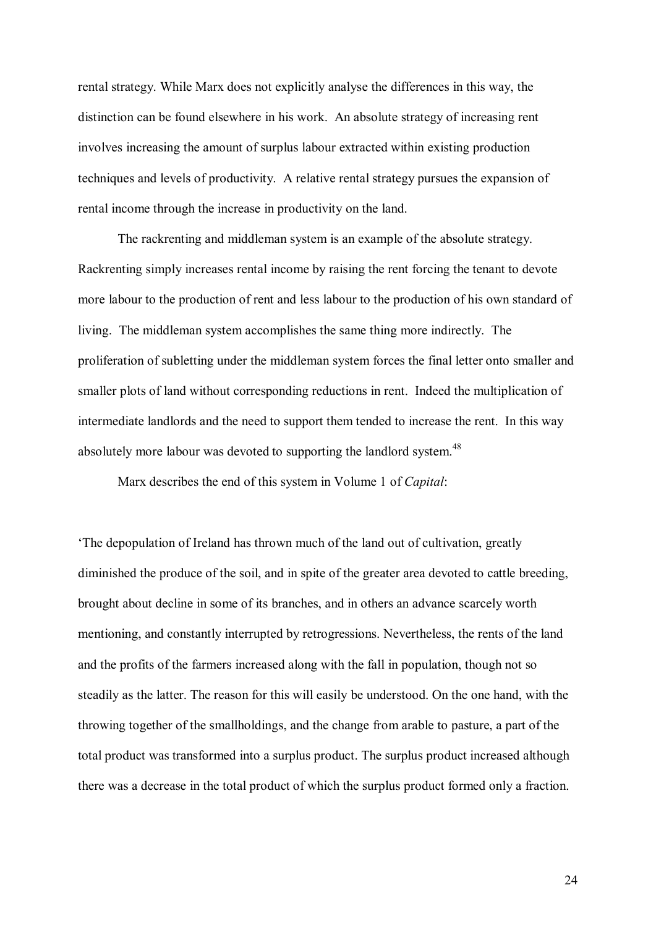rental strategy. While Marx does not explicitly analyse the differences in this way, the distinction can be found elsewhere in his work. An absolute strategy of increasing rent involves increasing the amount of surplus labour extracted within existing production techniques and levels of productivity. A relative rental strategy pursues the expansion of rental income through the increase in productivity on the land.

The rackrenting and middleman system is an example of the absolute strategy. Rackrenting simply increases rental income by raising the rent forcing the tenant to devote more labour to the production of rent and less labour to the production of his own standard of living. The middleman system accomplishes the same thing more indirectly. The proliferation of subletting under the middleman system forces the final letter onto smaller and smaller plots of land without corresponding reductions in rent. Indeed the multiplication of intermediate landlords and the need to support them tended to increase the rent. In this way absolutely more labour was devoted to supporting the landlord system.<sup>48</sup>

Marx describes the end of this system in Volume 1 of *Capital*:

'The depopulation of Ireland has thrown much of the land out of cultivation, greatly diminished the produce of the soil, and in spite of the greater area devoted to cattle breeding, brought about decline in some of its branches, and in others an advance scarcely worth mentioning, and constantly interrupted by retrogressions. Nevertheless, the rents of the land and the profits of the farmers increased along with the fall in population, though not so steadily as the latter. The reason for this will easily be understood. On the one hand, with the throwing together of the smallholdings, and the change from arable to pasture, a part of the total product was transformed into a surplus product. The surplus product increased although there was a decrease in the total product of which the surplus product formed only a fraction.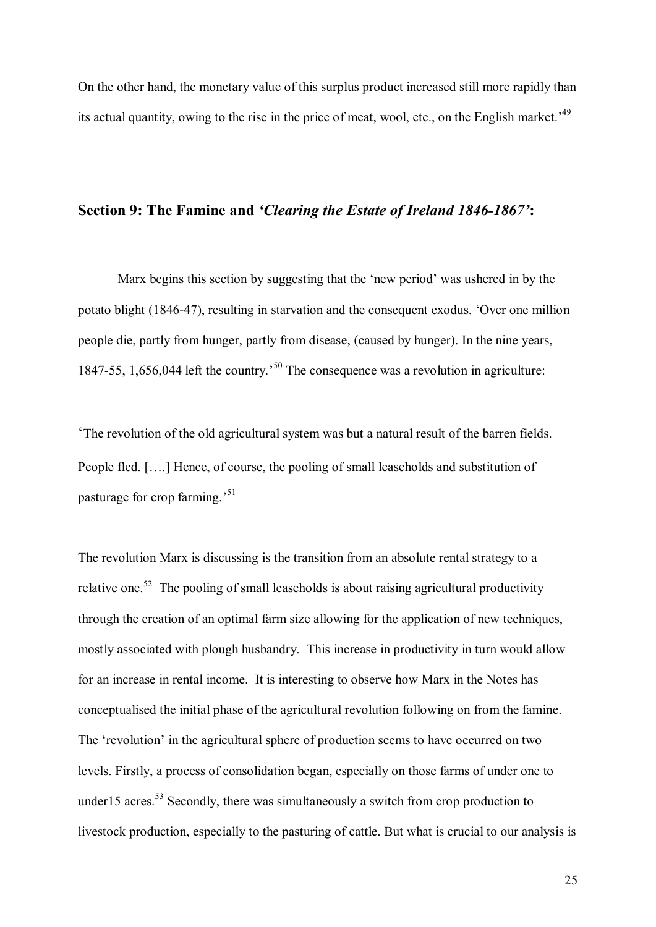On the other hand, the monetary value of this surplus product increased still more rapidly than its actual quantity, owing to the rise in the price of meat, wool, etc., on the English market.' 49

#### **Section 9: The Famine and** *'Clearing the Estate of Ireland 1846-1867'***:**

Marx begins this section by suggesting that the 'new period' was ushered in by the potato blight (1846-47), resulting in starvation and the consequent exodus. 'Over one million people die, partly from hunger, partly from disease, (caused by hunger). In the nine years, 1847-55, 1,656,044 left the country.<sup>50</sup> The consequence was a revolution in agriculture:

'The revolution of the old agricultural system was but a natural result of the barren fields. People fled. [….] Hence, of course, the pooling of small leaseholds and substitution of pasturage for crop farming.' 51

The revolution Marx is discussing is the transition from an absolute rental strategy to a relative one.<sup>52</sup> The pooling of small leaseholds is about raising agricultural productivity through the creation of an optimal farm size allowing for the application of new techniques, mostly associated with plough husbandry. This increase in productivity in turn would allow for an increase in rental income. It is interesting to observe how Marx in the Notes has conceptualised the initial phase of the agricultural revolution following on from the famine. The 'revolution' in the agricultural sphere of production seems to have occurred on two levels. Firstly, a process of consolidation began, especially on those farms of under one to under15 acres.<sup>53</sup> Secondly, there was simultaneously a switch from crop production to livestock production, especially to the pasturing of cattle. But what is crucial to our analysis is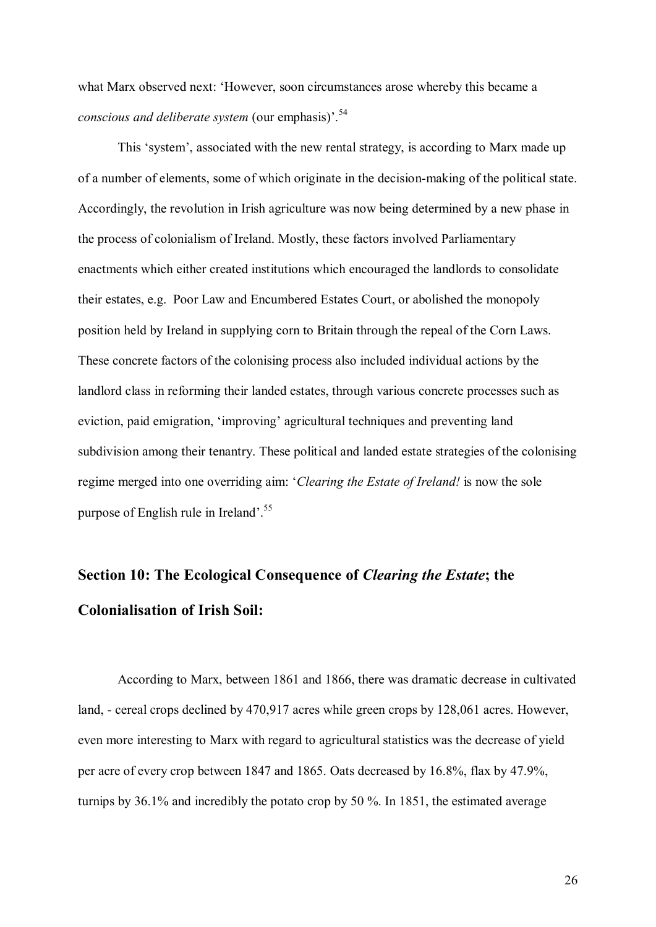what Marx observed next: 'However, soon circumstances arose whereby this became a *conscious and deliberate system* (our emphasis)<sup>54</sup>

This 'system', associated with the new rental strategy, is according to Marx made up of a number of elements, some of which originate in the decision-making of the political state. Accordingly, the revolution in Irish agriculture was now being determined by a new phase in the process of colonialism of Ireland. Mostly, these factors involved Parliamentary enactments which either created institutions which encouraged the landlords to consolidate their estates, e.g. Poor Law and Encumbered Estates Court, or abolished the monopoly position held by Ireland in supplying corn to Britain through the repeal of the Corn Laws. These concrete factors of the colonising process also included individual actions by the landlord class in reforming their landed estates, through various concrete processes such as eviction, paid emigration, 'improving' agricultural techniques and preventing land subdivision among their tenantry. These political and landed estate strategies of the colonising regime merged into one overriding aim: '*Clearing the Estate of Ireland!* is now the sole purpose of English rule in Ireland'.<sup>55</sup>

### **Section 10: The Ecological Consequence of** *Clearing the Estate***; the Colonialisation of Irish Soil:**

According to Marx, between 1861 and 1866, there was dramatic decrease in cultivated land, - cereal crops declined by 470,917 acres while green crops by 128,061 acres. However, even more interesting to Marx with regard to agricultural statistics was the decrease of yield per acre of every crop between 1847 and 1865. Oats decreased by 16.8%, flax by 47.9%, turnips by 36.1% and incredibly the potato crop by 50 %. In 1851, the estimated average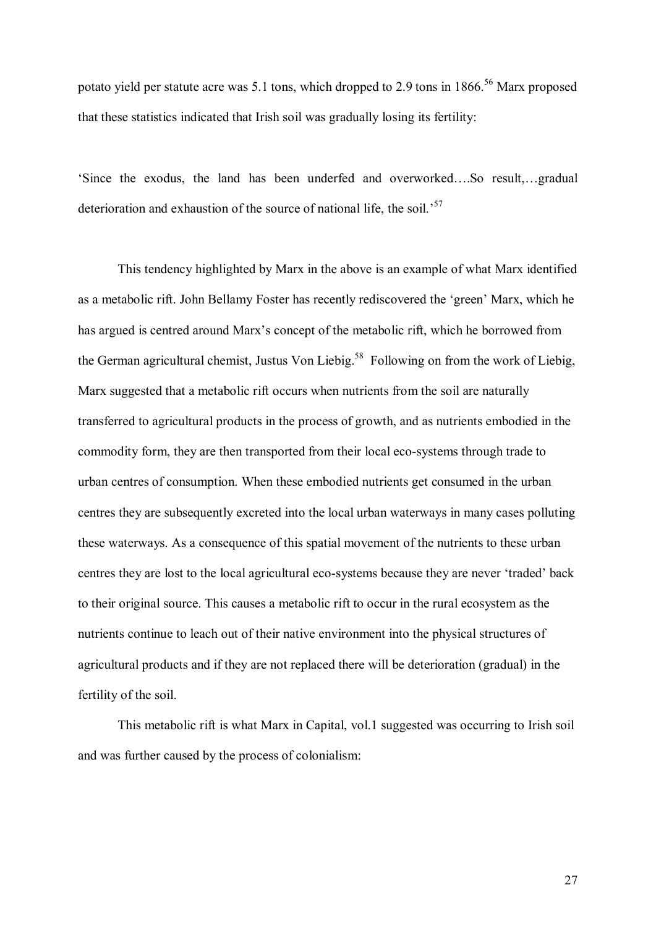potato yield per statute acre was 5.1 tons, which dropped to 2.9 tons in  $1866$ <sup>56</sup> Marx proposed that these statistics indicated that Irish soil was gradually losing its fertility:

'Since the exodus, the land has been underfed and overworked….So result,…gradual deterioration and exhaustion of the source of national life, the soil.<sup>57</sup>

This tendency highlighted by Marx in the above is an example of what Marx identified as a metabolic rift. John Bellamy Foster has recently rediscovered the 'green' Marx, which he has argued is centred around Marx's concept of the metabolic rift, which he borrowed from the German agricultural chemist, Justus Von Liebig.<sup>58</sup> Following on from the work of Liebig, Marx suggested that a metabolic rift occurs when nutrients from the soil are naturally transferred to agricultural products in the process of growth, and as nutrients embodied in the commodity form, they are then transported from their local eco-systems through trade to urban centres of consumption. When these embodied nutrients get consumed in the urban centres they are subsequently excreted into the local urban waterways in many cases polluting these waterways. As a consequence of this spatial movement of the nutrients to these urban centres they are lost to the local agricultural eco-systems because they are never 'traded' back to their original source. This causes a metabolic rift to occur in the rural ecosystem as the nutrients continue to leach out of their native environment into the physical structures of agricultural products and if they are not replaced there will be deterioration (gradual) in the fertility of the soil.

This metabolic rift is what Marx in Capital, vol.1 suggested was occurring to Irish soil and was further caused by the process of colonialism: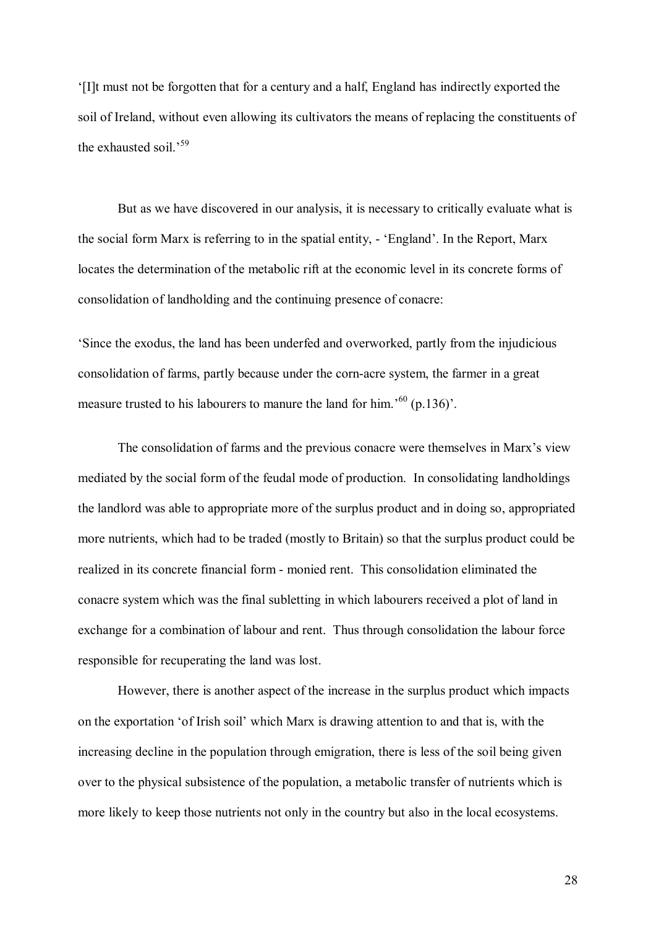'[I]t must not be forgotten that for a century and a half, England has indirectly exported the soil of Ireland, without even allowing its cultivators the means of replacing the constituents of the exhausted soil.<sup>59</sup>

But as we have discovered in our analysis, it is necessary to critically evaluate what is the social form Marx is referring to in the spatial entity, 'England'. In the Report, Marx locates the determination of the metabolic rift at the economic level in its concrete forms of consolidation of landholding and the continuing presence of conacre:

'Since the exodus, the land has been underfed and overworked, partly from the injudicious consolidation of farms, partly because under the cornacre system, the farmer in a great measure trusted to his labourers to manure the land for him.<sup>'60</sup> (p.136)'.

The consolidation of farms and the previous conacre were themselves in Marx's view mediated by the social form of the feudal mode of production. In consolidating landholdings the landlord was able to appropriate more of the surplus product and in doing so, appropriated more nutrients, which had to be traded (mostly to Britain) so that the surplus product could be realized in its concrete financial form monied rent. This consolidation eliminated the conacre system which was the final subletting in which labourers received a plot of land in exchange for a combination of labour and rent. Thus through consolidation the labour force responsible for recuperating the land was lost.

However, there is another aspect of the increase in the surplus product which impacts on the exportation 'of Irish soil' which Marx is drawing attention to and that is, with the increasing decline in the population through emigration, there is less of the soil being given over to the physical subsistence of the population, a metabolic transfer of nutrients which is more likely to keep those nutrients not only in the country but also in the local ecosystems.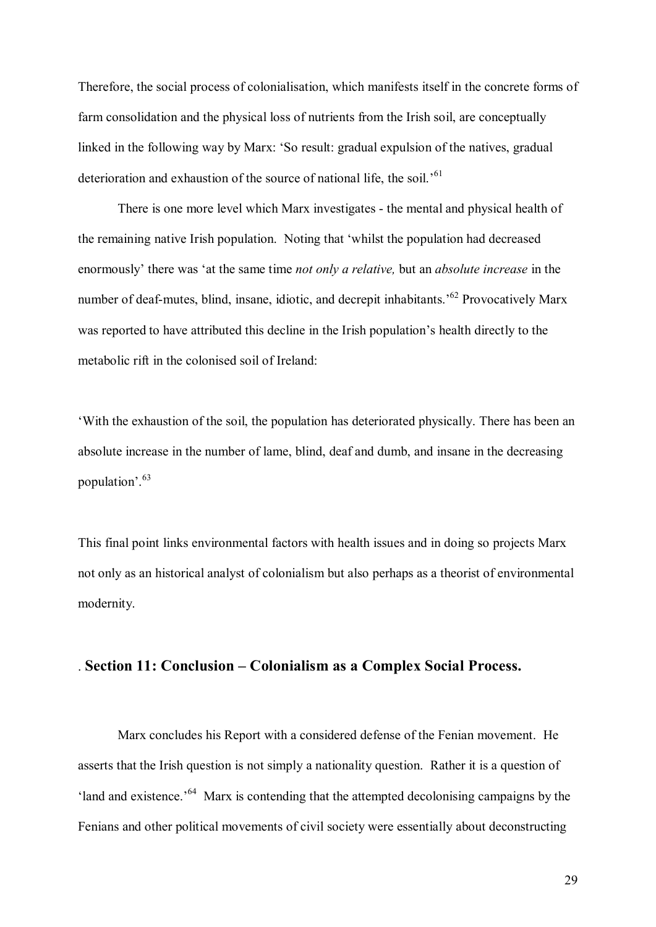Therefore, the social process of colonialisation, which manifests itself in the concrete forms of farm consolidation and the physical loss of nutrients from the Irish soil, are conceptually linked in the following way by Marx: 'So result: gradual expulsion of the natives, gradual deterioration and exhaustion of the source of national life, the soil.<sup>'61</sup>

There is one more level which Marx investigates - the mental and physical health of the remaining native Irish population. Noting that 'whilst the population had decreased enormously' there was 'at the same time *not only a relative,* but an *absolute increase* in the number of deaf-mutes, blind, insane, idiotic, and decrepit inhabitants.<sup>562</sup> Provocatively Marx was reported to have attributed this decline in the Irish population's health directly to the metabolic rift in the colonised soil of Ireland:

'With the exhaustion of the soil, the population has deteriorated physically. There has been an absolute increase in the number of lame, blind, deaf and dumb, and insane in the decreasing population'.<sup>63</sup>

This final point links environmental factors with health issues and in doing so projects Marx not only as an historical analyst of colonialism but also perhaps as a theorist of environmental modernity.

#### . **Section 11: Conclusion – Colonialism as a Complex Social Process.**

Marx concludes his Report with a considered defense of the Fenian movement. He asserts that the Irish question is not simply a nationality question. Rather it is a question of 'land and existence.'<sup>64</sup> Marx is contending that the attempted decolonising campaigns by the Fenians and other political movements of civil society were essentially about deconstructing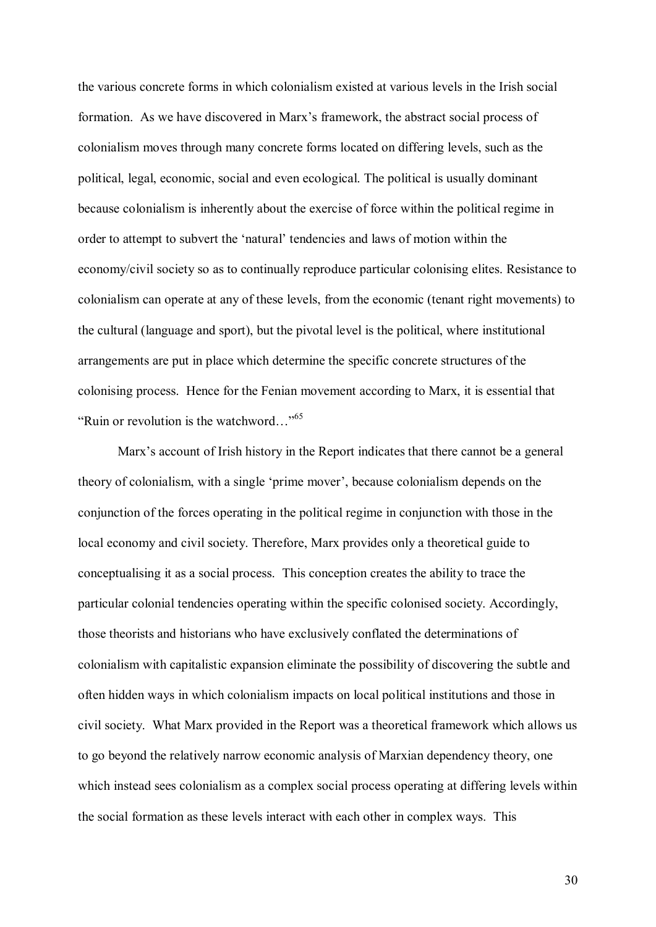the various concrete forms in which colonialism existed at various levels in the Irish social formation. As we have discovered in Marx's framework, the abstract social process of colonialism moves through many concrete forms located on differing levels, such as the political, legal, economic, social and even ecological. The political is usually dominant because colonialism is inherently about the exercise of force within the political regime in order to attempt to subvert the 'natural' tendencies and laws of motion within the economy/civil society so as to continually reproduce particular colonising elites. Resistance to colonialism can operate at any of these levels, from the economic (tenant right movements) to the cultural (language and sport), but the pivotal level is the political, where institutional arrangements are put in place which determine the specific concrete structures of the colonising process. Hence for the Fenian movement according to Marx, it is essential that "Ruin or revolution is the watchword..."<sup>65</sup>

Marx's account of Irish history in the Report indicates that there cannot be a general theory of colonialism, with a single 'prime mover', because colonialism depends on the conjunction of the forces operating in the political regime in conjunction with those in the local economy and civil society. Therefore, Marx provides only a theoretical guide to conceptualising it as a social process. This conception creates the ability to trace the particular colonial tendencies operating within the specific colonised society. Accordingly, those theorists and historians who have exclusively conflated the determinations of colonialism with capitalistic expansion eliminate the possibility of discovering the subtle and often hidden ways in which colonialism impacts on local political institutions and those in civil society. What Marx provided in the Report was a theoretical framework which allows us to go beyond the relatively narrow economic analysis of Marxian dependency theory, one which instead sees colonialism as a complex social process operating at differing levels within the social formation as these levels interact with each other in complex ways. This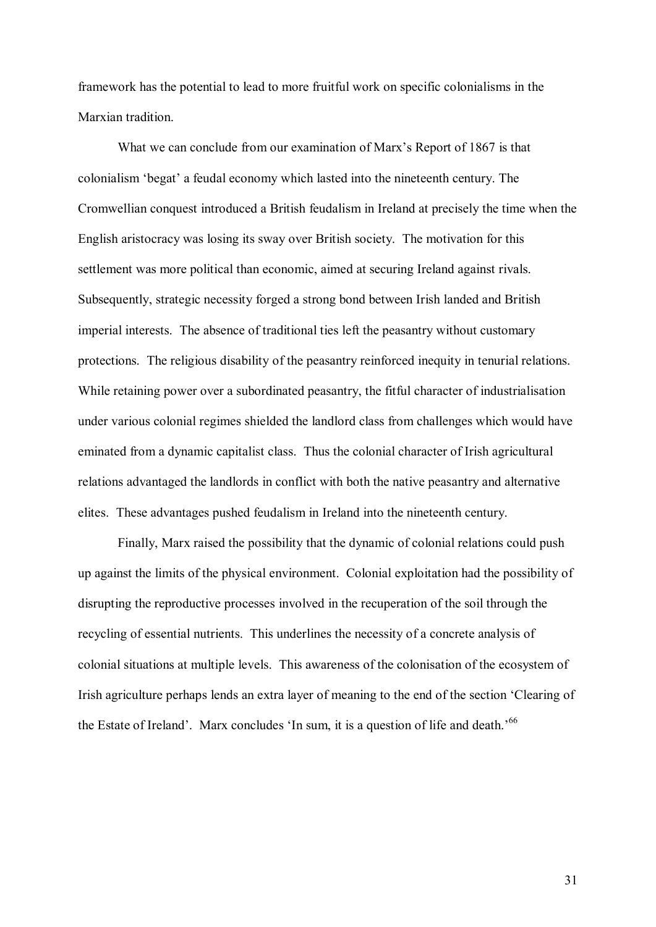framework has the potential to lead to more fruitful work on specific colonialisms in the Marxian tradition.

What we can conclude from our examination of Marx's Report of 1867 is that colonialism 'begat' a feudal economy which lasted into the nineteenth century. The Cromwellian conquest introduced a British feudalism in Ireland at precisely the time when the English aristocracy was losing its sway over British society. The motivation for this settlement was more political than economic, aimed at securing Ireland against rivals. Subsequently, strategic necessity forged a strong bond between Irish landed and British imperial interests. The absence of traditional ties left the peasantry without customary protections. The religious disability of the peasantry reinforced inequity in tenurial relations. While retaining power over a subordinated peasantry, the fitful character of industrialisation under various colonial regimes shielded the landlord class from challenges which would have eminated from a dynamic capitalist class. Thus the colonial character of Irish agricultural relations advantaged the landlords in conflict with both the native peasantry and alternative elites. These advantages pushed feudalism in Ireland into the nineteenth century.

Finally, Marx raised the possibility that the dynamic of colonial relations could push up against the limits of the physical environment. Colonial exploitation had the possibility of disrupting the reproductive processes involved in the recuperation of the soil through the recycling of essential nutrients. This underlines the necessity of a concrete analysis of colonial situations at multiple levels. This awareness of the colonisation of the ecosystem of Irish agriculture perhaps lends an extra layer of meaning to the end of the section 'Clearing of the Estate of Ireland'. Marx concludes 'In sum, it is a question of life and death.<sup>566</sup>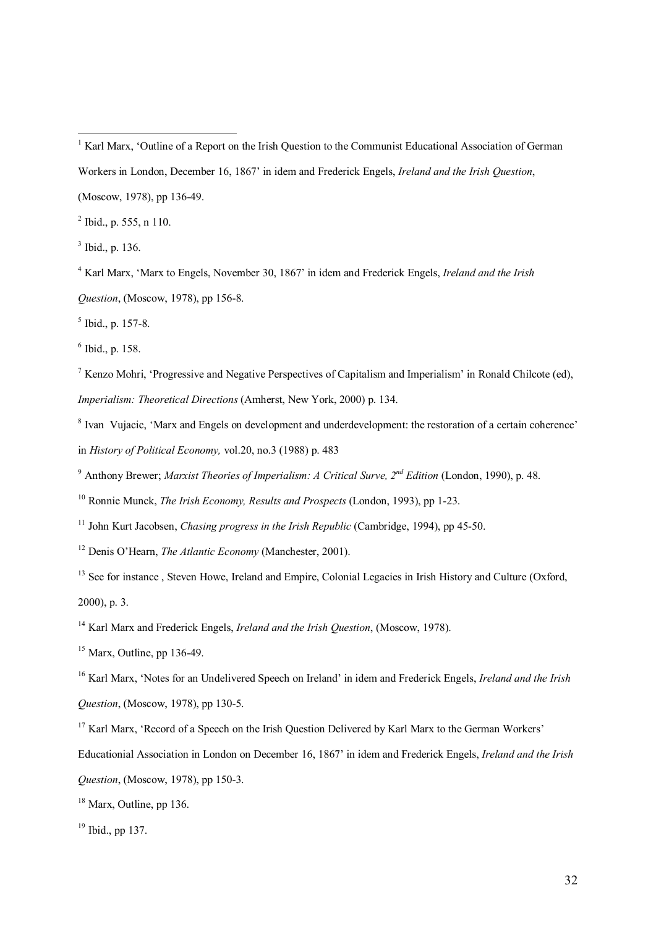(Moscow, 1978), pp 13649.

 $^{2}$  Ibid., p. 555, n 110.

<sup>3</sup> Ibid., p. 136.

<sup>4</sup> Karl Marx, 'Marx to Engels, November 30, 1867' in idem and Frederick Engels, *Ireland and the Irish Question*, (Moscow, 1978), pp 156-8.

 $<sup>5</sup>$  Ibid., p. 157-8.</sup>

 $6$  Ibid., p. 158.

<sup>7</sup> Kenzo Mohri, 'Progressive and Negative Perspectives of Capitalism and Imperialism' in Ronald Chilcote (ed), *Imperialism: Theoretical Directions* (Amherst, New York, 2000) p. 134.

<sup>8</sup> Ivan Vujacic, 'Marx and Engels on development and underdevelopment: the restoration of a certain coherence' in *History of Political Economy,* vol.20, no.3 (1988) p. 483

<sup>9</sup> Anthony Brewer; *Marxist Theories of Imperialism: A Critical Surve, 2 nd Edition* (London, 1990), p. 48.

<sup>10</sup> Ronnie Munck, *The Irish Economy, Results and Prospects* (London, 1993), pp 1-23.

<sup>11</sup> John Kurt Jacobsen, *Chasing progress in the Irish Republic* (Cambridge, 1994), pp 45-50.

<sup>12</sup> Denis O'Hearn, *The Atlantic Economy* (Manchester, 2001).

<sup>13</sup> See for instance, Steven Howe, Ireland and Empire, Colonial Legacies in Irish History and Culture (Oxford, 2000), p. 3.

<sup>14</sup> Karl Marx and Frederick Engels, *Ireland and the Irish Question*, (Moscow, 1978).

 $15$  Marx, Outline, pp 136-49.

<sup>16</sup> Karl Marx, 'Notes for an Undelivered Speech on Ireland' in idem and Frederick Engels, *Ireland and the Irish Question*, (Moscow, 1978), pp 130-5.

<sup>17</sup> Karl Marx, 'Record of a Speech on the Irish Question Delivered by Karl Marx to the German Workers'

Educationial Association in London on December 16, 1867' in idem and Frederick Engels, *Ireland and the Irish Question*, (Moscow, 1978), pp 150-3.

<sup>18</sup> Marx, Outline, pp 136.

<sup>19</sup> Ibid., pp 137.

<sup>&</sup>lt;sup>1</sup> Karl Marx, 'Outline of a Report on the Irish Question to the Communist Educational Association of German Workers in London, December 16, 1867' in idem and Frederick Engels, *Ireland and the Irish Question*,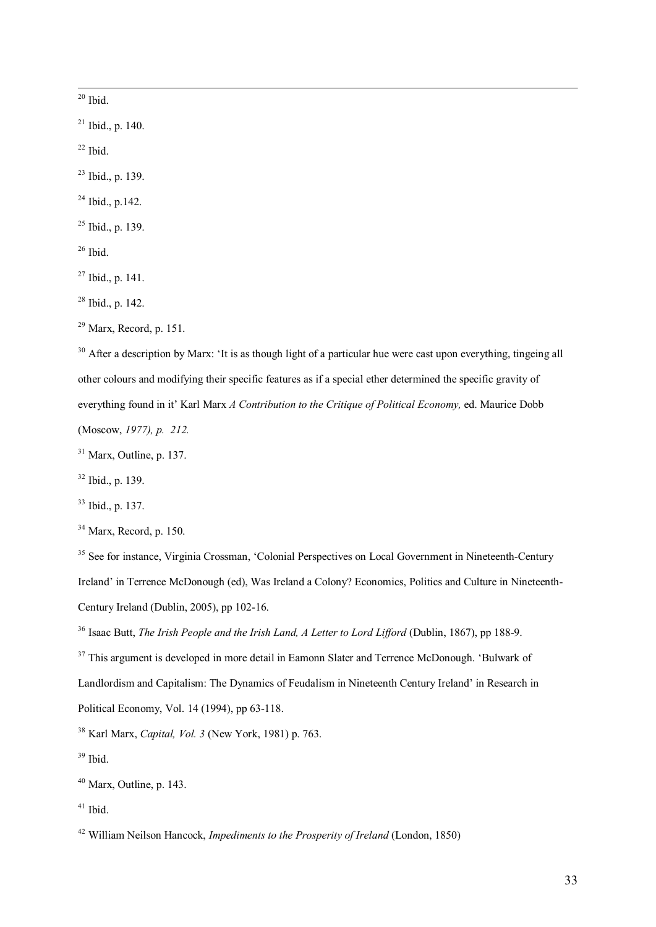$20$  Ibid.

 $21$  Ibid., p. 140.

 $22$  Ibid.

 $^{23}$  Ibid., p. 139.

 $^{24}$  Ibid., p. 142.

 $25$  Ibid., p. 139.

 $26$  Ibid.

 $27$  Ibid., p. 141.

 $28$  Ibid., p. 142.

<sup>30</sup> After a description by Marx: 'It is as though light of a particular hue were cast upon everything, tingeing all other colours and modifying their specific features as if a special ether determined the specific gravity of everything found in it' Karl Marx *A Contribution to the Critique of Political Economy,* ed. Maurice Dobb (Moscow, *1977), p. 212.*

 $31$  Marx, Outline, p. 137.

 $32$  Ibid., p. 139.

<sup>33</sup> Ibid., p. 137.

 $34$  Marx, Record, p. 150.

<sup>35</sup> See for instance, Virginia Crossman, 'Colonial Perspectives on Local Government in Nineteenth-Century Ireland' in Terrence McDonough (ed), Was Ireland a Colony? Economics, Politics and Culture in Nineteenth Century Ireland (Dublin, 2005), pp 102-16.

<sup>37</sup> This argument is developed in more detail in Eamonn Slater and Terrence McDonough. 'Bulwark of Landlordism and Capitalism: The Dynamics of Feudalism in Nineteenth Century Ireland' in Research in Political Economy, Vol. 14 (1994), pp  $63-118$ .

<sup>38</sup> Karl Marx, *Capital, Vol. 3* (New York, 1981) p. 763.

 $39$  Ibid.

<sup>41</sup> Ibid.

 $29$  Marx, Record, p. 151.

<sup>&</sup>lt;sup>36</sup> Isaac Butt, *The Irish People and the Irish Land, A Letter to Lord Lifford (Dublin, 1867), pp 188-9.* 

 $40$  Marx, Outline, p. 143.

<sup>42</sup> William Neilson Hancock, *Impediments to the Prosperity of Ireland* (London, 1850)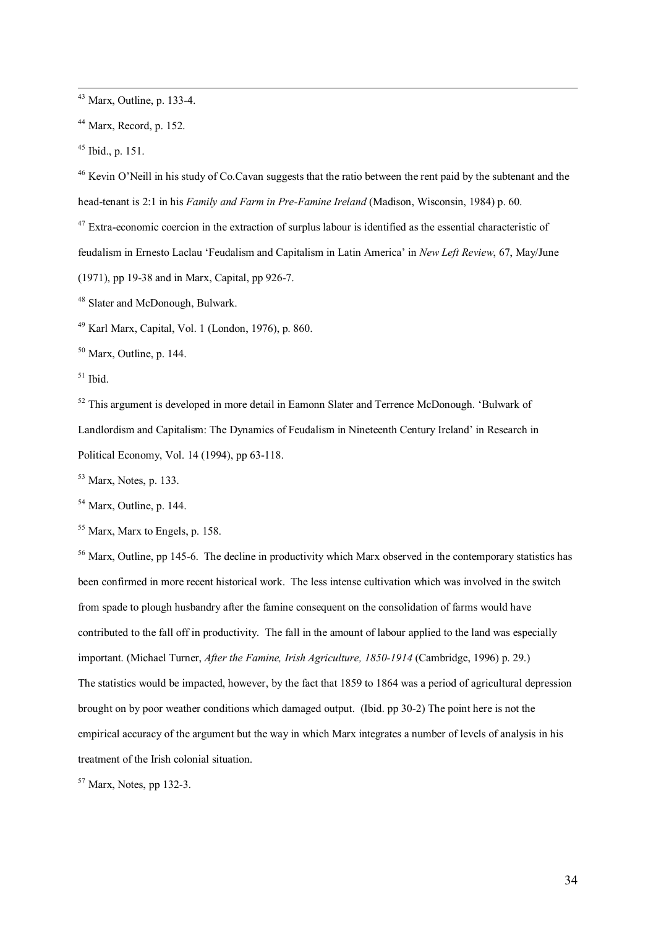<sup>43</sup> Marx, Outline, p. 133-4.

 $44$  Marx, Record, p. 152.

 $45$  Ibid., p. 151.

<sup>46</sup> Kevin O'Neill in his study of Co.Cavan suggests that the ratio between the rent paid by the subtenant and the head-tenant is 2:1 in his *Family and Farm in Pre-Famine Ireland* (Madison, Wisconsin, 1984) p. 60.

 $47$  Extra-economic coercion in the extraction of surplus labour is identified as the essential characteristic of feudalism in Ernesto Laclau 'Feudalism and Capitalism in Latin America' in *New Left Review*, 67, May/June (1971), pp 1938 and in Marx, Capital, pp 9267.

<sup>48</sup> Slater and McDonough, Bulwark.

<sup>49</sup> Karl Marx, Capital, Vol. 1 (London, 1976), p. 860.

 $50$  Marx, Outline, p. 144.

 $51$  Ibid.

<sup>52</sup> This argument is developed in more detail in Eamonn Slater and Terrence McDonough. 'Bulwark of Landlordism and Capitalism: The Dynamics of Feudalism in Nineteenth Century Ireland' in Research in Political Economy, Vol. 14 (1994), pp 63-118.

<sup>53</sup> Marx, Notes, p. 133.

<sup>54</sup> Marx, Outline, p. 144.

<sup>55</sup> Marx, Marx to Engels, p. 158.

<sup>56</sup> Marx, Outline, pp 145-6. The decline in productivity which Marx observed in the contemporary statistics has been confirmed in more recent historical work. The less intense cultivation which was involved in the switch from spade to plough husbandry after the famine consequent on the consolidation of farms would have contributed to the fall off in productivity. The fall in the amount of labour applied to the land was especially important. (Michael Turner, *After the Famine, Irish Agriculture, 1850-1914* (Cambridge, 1996) p. 29.) The statistics would be impacted, however, by the fact that 1859 to 1864 was a period of agricultural depression brought on by poor weather conditions which damaged output. (Ibid. pp 302) The point here is not the empirical accuracy of the argument but the way in which Marx integrates a number of levels of analysis in his treatment of the Irish colonial situation.

 $57$  Marx, Notes, pp 132-3.